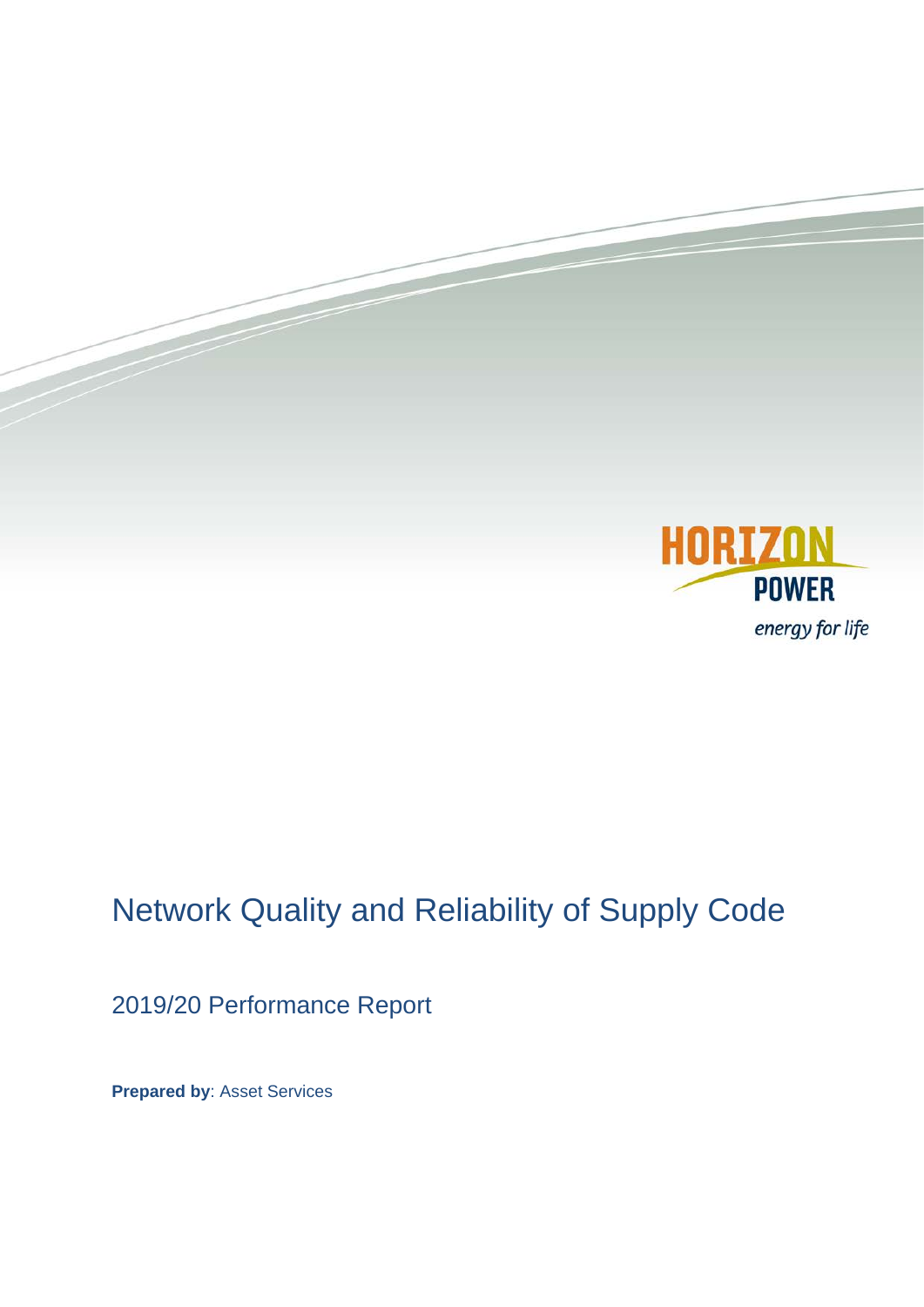

## Network Quality and Reliability of Supply Code

2019/20 Performance Report

**Prepared by**: Asset Services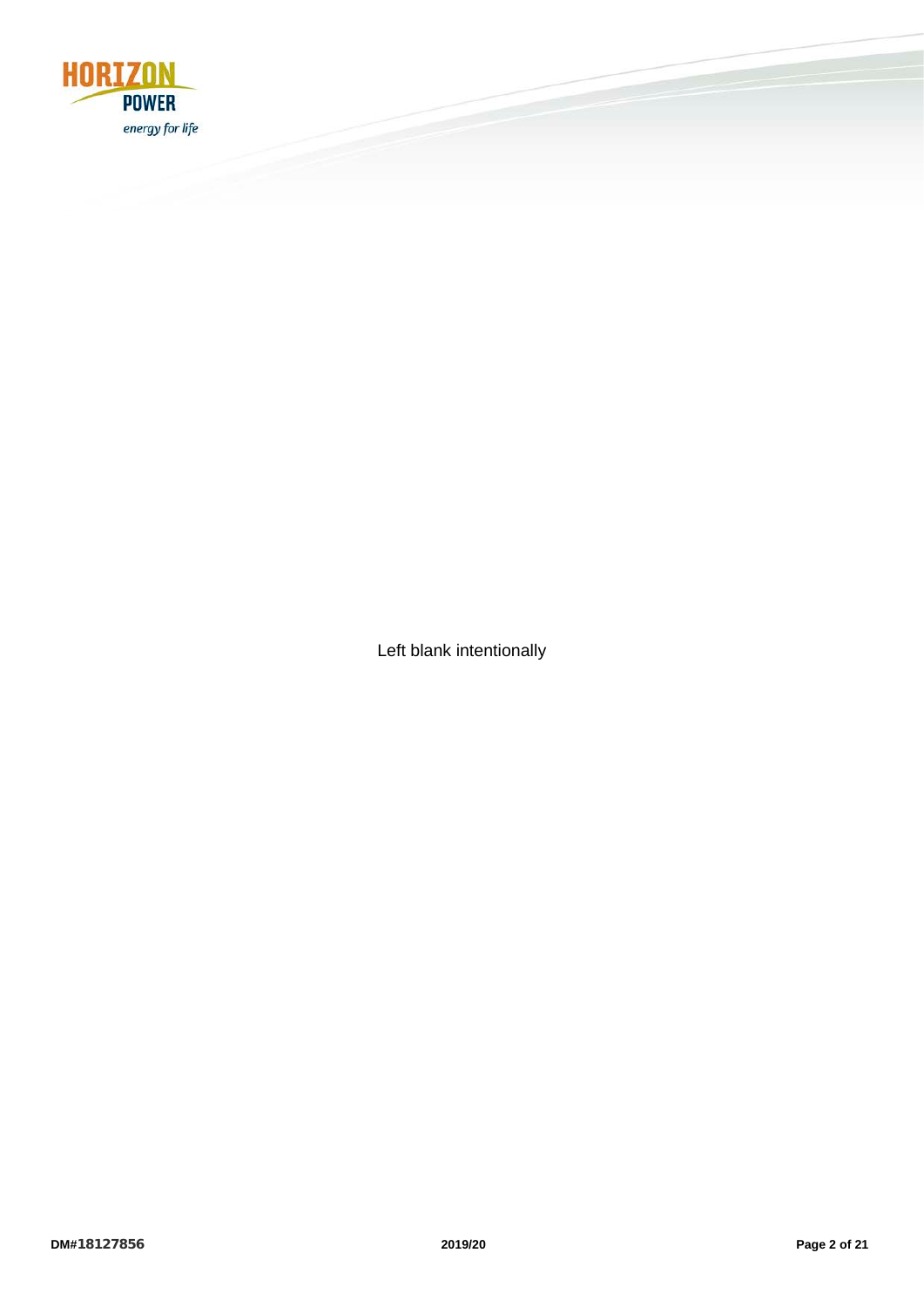

Left blank intentionally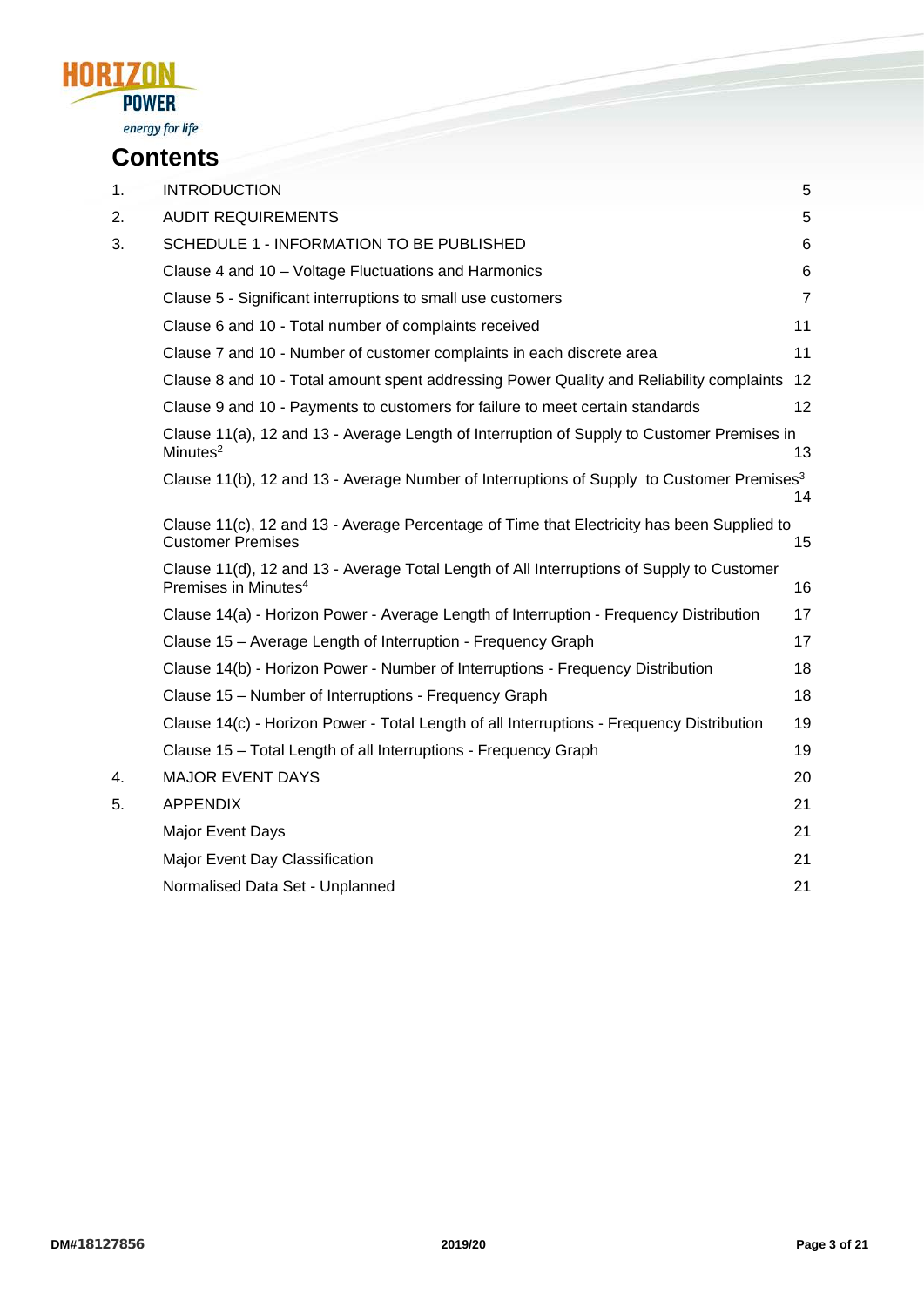

## **Contents**

| 1. | <b>INTRODUCTION</b>                                                                                                           | 5              |
|----|-------------------------------------------------------------------------------------------------------------------------------|----------------|
| 2. | <b>AUDIT REQUIREMENTS</b>                                                                                                     | 5              |
| 3. | SCHEDULE 1 - INFORMATION TO BE PUBLISHED                                                                                      | 6              |
|    | Clause 4 and 10 - Voltage Fluctuations and Harmonics                                                                          | 6              |
|    | Clause 5 - Significant interruptions to small use customers                                                                   | $\overline{7}$ |
|    | Clause 6 and 10 - Total number of complaints received                                                                         | 11             |
|    | Clause 7 and 10 - Number of customer complaints in each discrete area                                                         | 11             |
|    | Clause 8 and 10 - Total amount spent addressing Power Quality and Reliability complaints                                      | 12             |
|    | Clause 9 and 10 - Payments to customers for failure to meet certain standards                                                 | 12             |
|    | Clause 11(a), 12 and 13 - Average Length of Interruption of Supply to Customer Premises in<br>Minutes $2$                     | 13             |
|    | Clause 11(b), 12 and 13 - Average Number of Interruptions of Supply to Customer Premises <sup>3</sup>                         | 14             |
|    | Clause 11(c), 12 and 13 - Average Percentage of Time that Electricity has been Supplied to<br><b>Customer Premises</b>        | 15             |
|    | Clause 11(d), 12 and 13 - Average Total Length of All Interruptions of Supply to Customer<br>Premises in Minutes <sup>4</sup> | 16             |
|    | Clause 14(a) - Horizon Power - Average Length of Interruption - Frequency Distribution                                        | 17             |
|    | Clause 15 – Average Length of Interruption - Frequency Graph                                                                  | 17             |
|    | Clause 14(b) - Horizon Power - Number of Interruptions - Frequency Distribution                                               | 18             |
|    | Clause 15 – Number of Interruptions - Frequency Graph                                                                         | 18             |
|    | Clause 14(c) - Horizon Power - Total Length of all Interruptions - Frequency Distribution                                     | 19             |
|    | Clause 15 - Total Length of all Interruptions - Frequency Graph                                                               | 19             |
| 4. | <b>MAJOR EVENT DAYS</b>                                                                                                       | 20             |
| 5. | <b>APPENDIX</b>                                                                                                               | 21             |
|    | <b>Major Event Days</b>                                                                                                       | 21             |
|    | Major Event Day Classification                                                                                                | 21             |
|    | Normalised Data Set - Unplanned                                                                                               | 21             |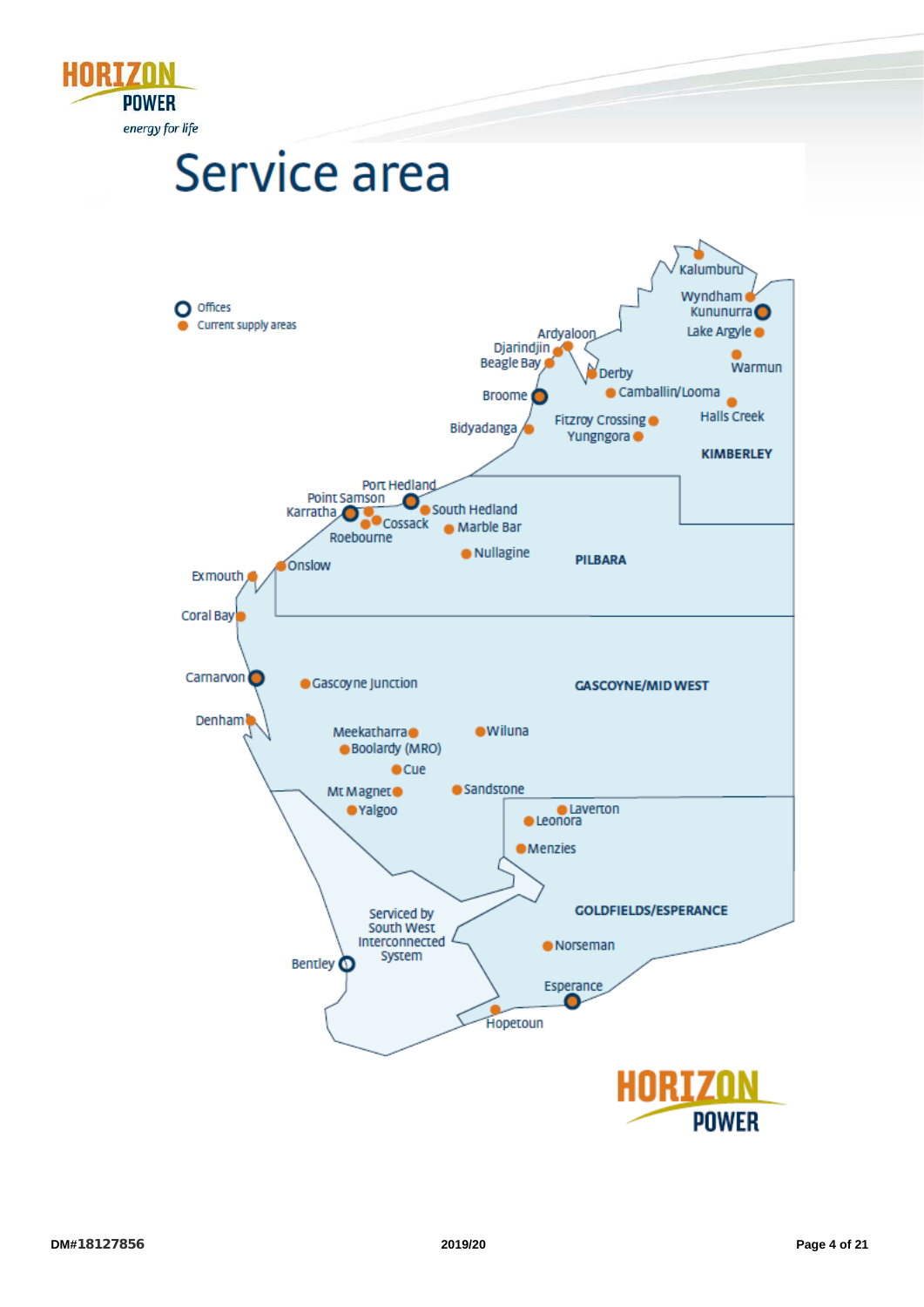

# Service area

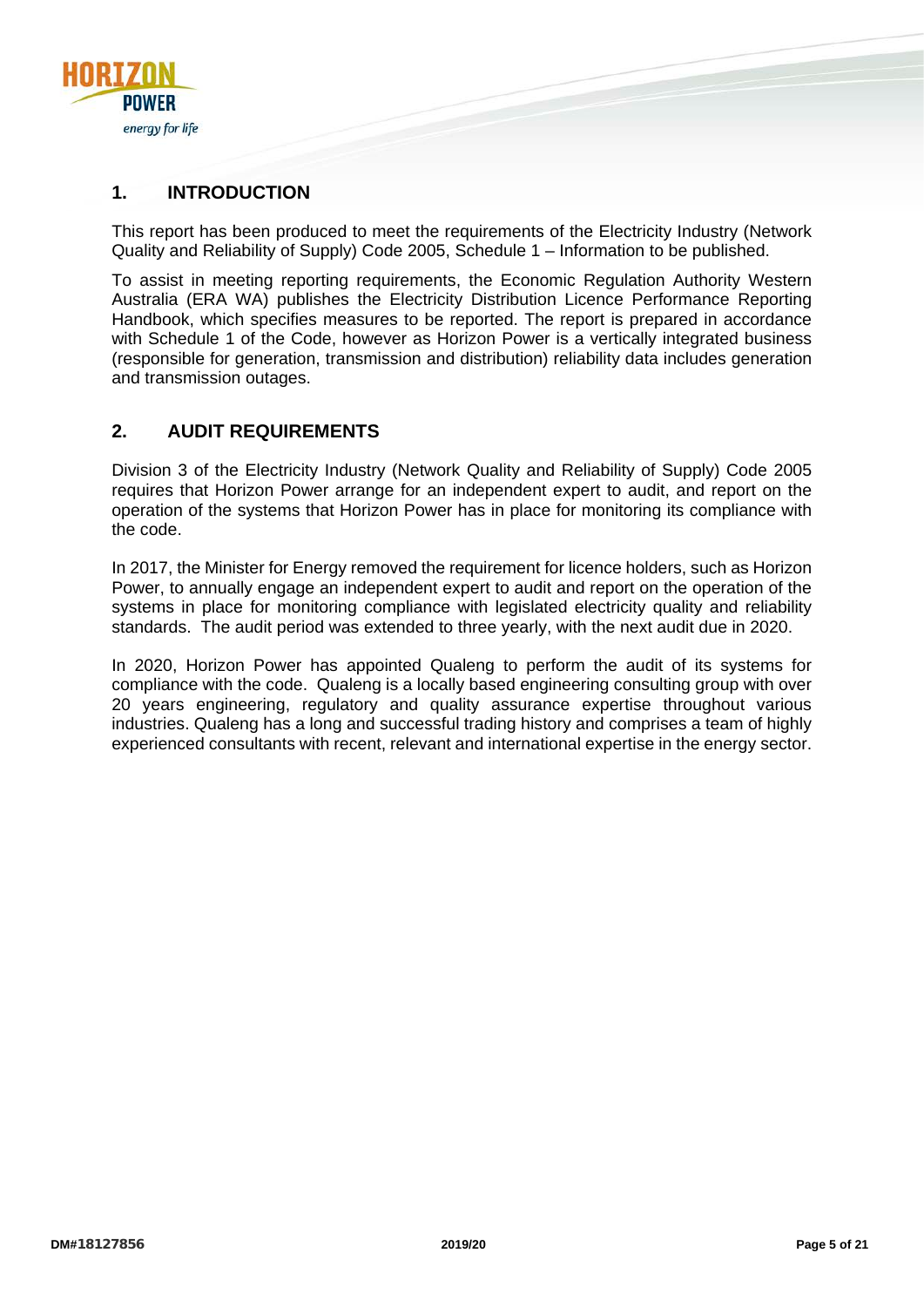

## <span id="page-4-0"></span>**1. INTRODUCTION**

This report has been produced to meet the requirements of the Electricity Industry (Network Quality and Reliability of Supply) Code 2005, Schedule 1 – Information to be published.

To assist in meeting reporting requirements, the Economic Regulation Authority Western Australia (ERA WA) publishes the Electricity Distribution Licence Performance Reporting Handbook, which specifies measures to be reported. The report is prepared in accordance with Schedule 1 of the Code, however as Horizon Power is a vertically integrated business (responsible for generation, transmission and distribution) reliability data includes generation and transmission outages.

## <span id="page-4-1"></span>**2. AUDIT REQUIREMENTS**

Division 3 of the Electricity Industry (Network Quality and Reliability of Supply) Code 2005 requires that Horizon Power arrange for an independent expert to audit, and report on the operation of the systems that Horizon Power has in place for monitoring its compliance with the code.

In 2017, the Minister for Energy removed the requirement for licence holders, such as Horizon Power, to annually engage an independent expert to audit and report on the operation of the systems in place for monitoring compliance with legislated electricity quality and reliability standards. The audit period was extended to three yearly, with the next audit due in 2020.

In 2020, Horizon Power has appointed Qualeng to perform the audit of its systems for compliance with the code. Qualeng is a locally based engineering consulting group with over 20 years engineering, regulatory and quality assurance expertise throughout various industries. Qualeng has a long and successful trading history and comprises a team of highly experienced consultants with recent, relevant and international expertise in the energy sector.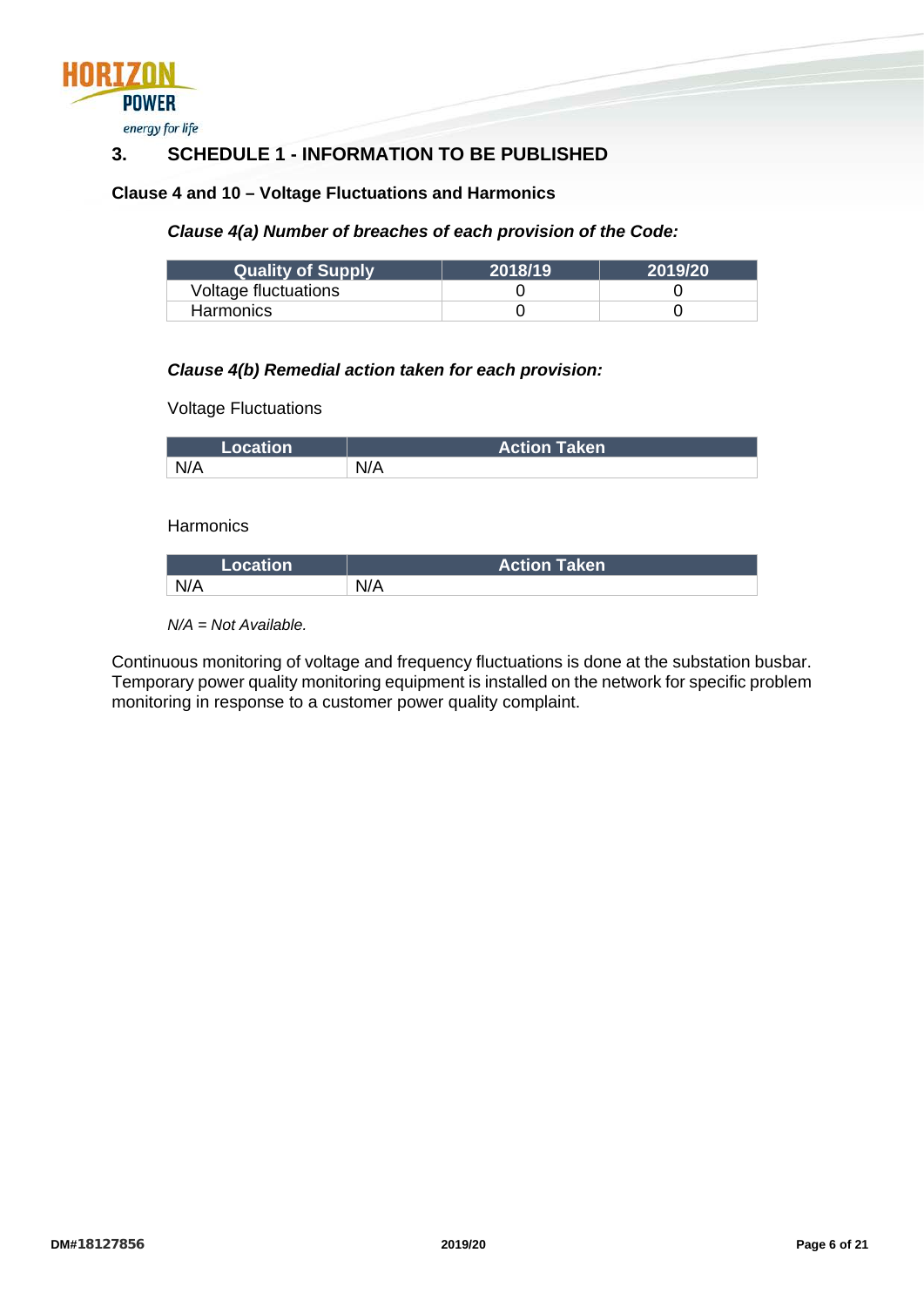

#### energy for life

## <span id="page-5-0"></span>**3. SCHEDULE 1 - INFORMATION TO BE PUBLISHED**

## <span id="page-5-1"></span>**Clause 4 and 10 – Voltage Fluctuations and Harmonics**

## *Clause 4(a) Number of breaches of each provision of the Code:*

| <b>Quality of Supply</b> | 2018/19 | .2019/201 |
|--------------------------|---------|-----------|
| Voltage fluctuations     |         |           |
| Harmonics                |         |           |

## *Clause 4(b) Remedial action taken for each provision:*

Voltage Fluctuations

| Location | <b>Action Taken</b> |
|----------|---------------------|
| N/A      | N/A                 |

**Harmonics** 

| 0 <sup>0</sup> | <b>Action Taken</b> |
|----------------|---------------------|
| N/A            | $N/\Delta$          |

*N/A = Not Available.*

Continuous monitoring of voltage and frequency fluctuations is done at the substation busbar. Temporary power quality monitoring equipment is installed on the network for specific problem monitoring in response to a customer power quality complaint.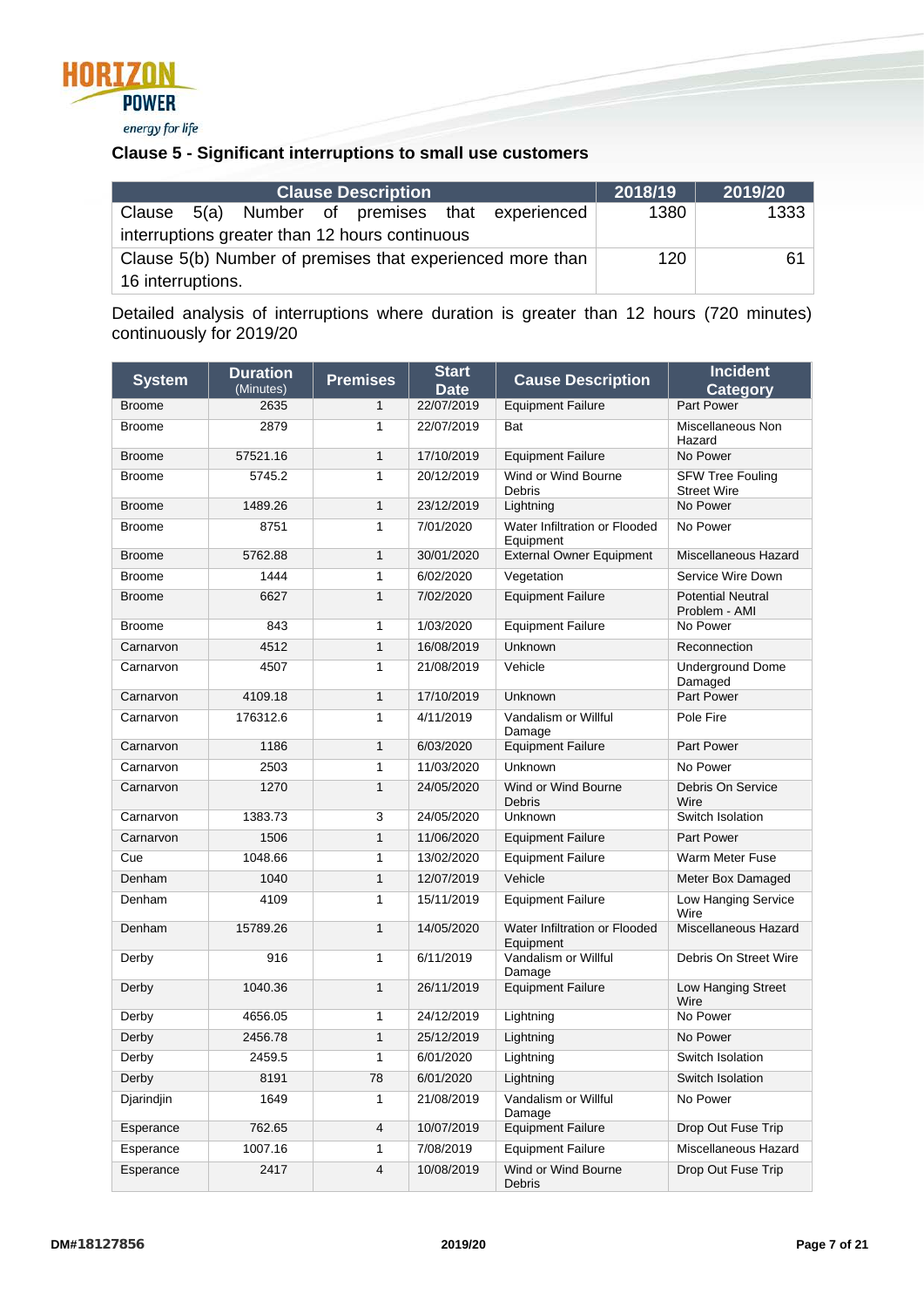

## <span id="page-6-0"></span>**Clause 5 - Significant interruptions to small use customers**

| <b>Clause Description</b>                                 | 2018/19 | 2019/20 |
|-----------------------------------------------------------|---------|---------|
| 5(a) Number of premises that<br>experienced<br>Clause     | 1380    | 1333    |
| interruptions greater than 12 hours continuous            |         |         |
| Clause 5(b) Number of premises that experienced more than | 120     | 61 I    |
| 16 interruptions.                                         |         |         |

Detailed analysis of interruptions where duration is greater than 12 hours (720 minutes) continuously for 2019/20

| <b>System</b> | <b>Duration</b><br>(Minutes) | <b>Premises</b> | <b>Start</b><br><b>Date</b> | <b>Cause Description</b>                   | <b>Incident</b><br><b>Category</b>            |
|---------------|------------------------------|-----------------|-----------------------------|--------------------------------------------|-----------------------------------------------|
| <b>Broome</b> | 2635                         | 1               | 22/07/2019                  | <b>Equipment Failure</b>                   | Part Power                                    |
| Broome        | 2879                         | 1               | 22/07/2019                  | Bat                                        | Miscellaneous Non<br>Hazard                   |
| <b>Broome</b> | 57521.16                     | $\mathbf{1}$    | 17/10/2019                  | <b>Equipment Failure</b>                   | No Power                                      |
| Broome        | 5745.2                       | 1               | 20/12/2019                  | Wind or Wind Bourne<br>Debris              | <b>SFW Tree Fouling</b><br><b>Street Wire</b> |
| Broome        | 1489.26                      | 1               | 23/12/2019                  | Lightning                                  | No Power                                      |
| <b>Broome</b> | 8751                         | 1               | 7/01/2020                   | Water Infiltration or Flooded<br>Equipment | No Power                                      |
| <b>Broome</b> | 5762.88                      | $\mathbf{1}$    | 30/01/2020                  | <b>External Owner Equipment</b>            | Miscellaneous Hazard                          |
| <b>Broome</b> | 1444                         | 1               | 6/02/2020                   | Vegetation                                 | Service Wire Down                             |
| <b>Broome</b> | 6627                         | $\mathbf{1}$    | 7/02/2020                   | <b>Equipment Failure</b>                   | <b>Potential Neutral</b><br>Problem - AMI     |
| Broome        | 843                          | 1               | 1/03/2020                   | <b>Equipment Failure</b>                   | No Power                                      |
| Carnarvon     | 4512                         | $\mathbf{1}$    | 16/08/2019                  | Unknown                                    | Reconnection                                  |
| Carnarvon     | 4507                         | 1               | 21/08/2019                  | Vehicle                                    | <b>Underground Dome</b><br>Damaged            |
| Carnarvon     | 4109.18                      | $\mathbf{1}$    | 17/10/2019                  | Unknown                                    | Part Power                                    |
| Carnarvon     | 176312.6                     | 1               | 4/11/2019                   | Vandalism or Willful<br>Damage             | Pole Fire                                     |
| Carnarvon     | 1186                         | $\mathbf{1}$    | 6/03/2020                   | <b>Equipment Failure</b>                   | Part Power                                    |
| Carnarvon     | 2503                         | 1               | 11/03/2020                  | Unknown                                    | No Power                                      |
| Carnarvon     | 1270                         | $\mathbf{1}$    | 24/05/2020                  | Wind or Wind Bourne<br><b>Debris</b>       | Debris On Service<br>Wire                     |
| Carnarvon     | 1383.73                      | 3               | 24/05/2020                  | Unknown                                    | Switch Isolation                              |
| Carnarvon     | 1506                         | $\mathbf{1}$    | 11/06/2020                  | <b>Equipment Failure</b>                   | Part Power                                    |
| Cue           | 1048.66                      | 1               | 13/02/2020                  | <b>Equipment Failure</b>                   | <b>Warm Meter Fuse</b>                        |
| Denham        | 1040                         | 1               | 12/07/2019                  | Vehicle                                    | Meter Box Damaged                             |
| Denham        | 4109                         | 1               | 15/11/2019                  | <b>Equipment Failure</b>                   | Low Hanging Service<br>Wire                   |
| Denham        | 15789.26                     | 1               | 14/05/2020                  | Water Infiltration or Flooded<br>Equipment | Miscellaneous Hazard                          |
| Derby         | 916                          | 1               | 6/11/2019                   | Vandalism or Willful<br>Damage             | Debris On Street Wire                         |
| Derby         | 1040.36                      | $\mathbf{1}$    | 26/11/2019                  | <b>Equipment Failure</b>                   | Low Hanging Street<br>Wire                    |
| Derby         | 4656.05                      | 1               | 24/12/2019                  | Lightning                                  | No Power                                      |
| Derby         | 2456.78                      | 1               | 25/12/2019                  | Lightning                                  | No Power                                      |
| Derby         | 2459.5                       | 1               | 6/01/2020                   | Lightning                                  | Switch Isolation                              |
| Derby         | 8191                         | 78              | 6/01/2020                   | Lightning                                  | Switch Isolation                              |
| Djarindjin    | 1649                         | 1               | 21/08/2019                  | Vandalism or Willful<br>Damage             | No Power                                      |
| Esperance     | 762.65                       | 4               | 10/07/2019                  | <b>Equipment Failure</b>                   | Drop Out Fuse Trip                            |
| Esperance     | 1007.16                      | 1               | 7/08/2019                   | <b>Equipment Failure</b>                   | Miscellaneous Hazard                          |
| Esperance     | 2417                         | 4               | 10/08/2019                  | Wind or Wind Bourne<br>Debris              | Drop Out Fuse Trip                            |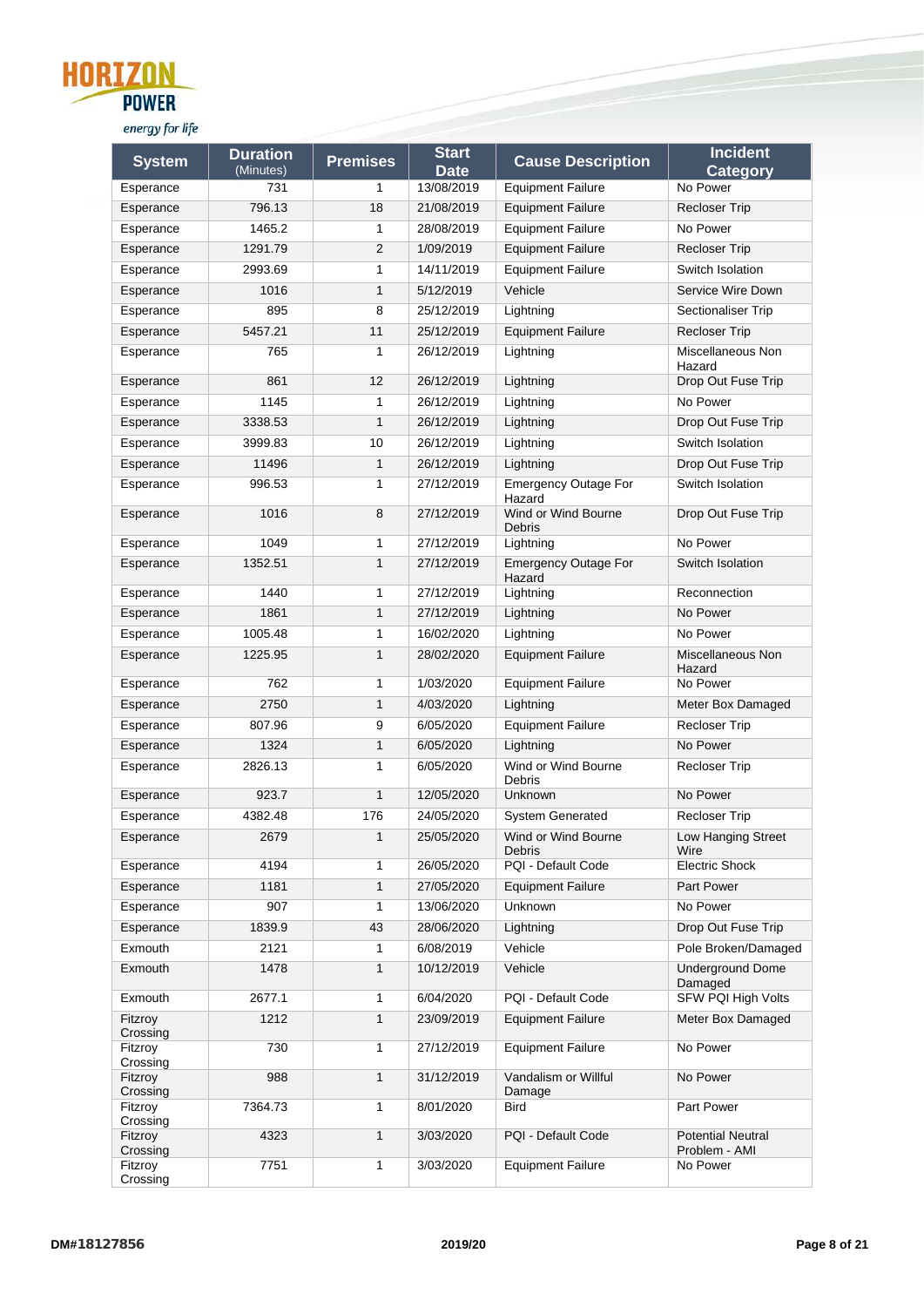| <b>POWER</b>        |                              |                 |                             |                                       |                                           |
|---------------------|------------------------------|-----------------|-----------------------------|---------------------------------------|-------------------------------------------|
| energy for life     |                              |                 |                             |                                       |                                           |
| <b>System</b>       | <b>Duration</b><br>(Minutes) | <b>Premises</b> | <b>Start</b><br><b>Date</b> | <b>Cause Description</b>              | <b>Incident</b><br>Category               |
| Esperance           | 731                          | $\mathbf{1}$    | 13/08/2019                  | <b>Equipment Failure</b>              | No Power                                  |
| Esperance           | 796.13                       | 18              | 21/08/2019                  | <b>Equipment Failure</b>              | <b>Recloser Trip</b>                      |
| Esperance           | 1465.2                       | $\mathbf{1}$    | 28/08/2019                  | <b>Equipment Failure</b>              | No Power                                  |
| Esperance           | 1291.79                      | $\overline{2}$  | 1/09/2019                   | <b>Equipment Failure</b>              | <b>Recloser Trip</b>                      |
| Esperance           | 2993.69                      | 1               | 14/11/2019                  | <b>Equipment Failure</b>              | Switch Isolation                          |
| Esperance           | 1016                         | $\mathbf{1}$    | 5/12/2019                   | Vehicle                               | Service Wire Down                         |
| Esperance           | 895                          | 8               | 25/12/2019                  | Lightning                             | Sectionaliser Trip                        |
| Esperance           | 5457.21                      | 11              | 25/12/2019                  | <b>Equipment Failure</b>              | <b>Recloser Trip</b>                      |
| Esperance           | 765                          | 1               | 26/12/2019                  | Lightning                             | Miscellaneous Non<br>Hazard               |
| Esperance           | 861                          | 12              | 26/12/2019                  | Lightning                             | Drop Out Fuse Trip                        |
| Esperance           | 1145                         | 1               | 26/12/2019                  | Lightning                             | No Power                                  |
| Esperance           | 3338.53                      | $\mathbf{1}$    | 26/12/2019                  | Lightning                             | Drop Out Fuse Trip                        |
| Esperance           | 3999.83                      | 10              | 26/12/2019                  | Lightning                             | Switch Isolation                          |
| Esperance           | 11496                        | $\mathbf{1}$    | 26/12/2019                  | Lightning                             | Drop Out Fuse Trip                        |
| Esperance           | 996.53                       | 1               | 27/12/2019                  | <b>Emergency Outage For</b><br>Hazard | Switch Isolation                          |
| Esperance           | 1016                         | 8               | 27/12/2019                  | Wind or Wind Bourne<br><b>Debris</b>  | Drop Out Fuse Trip                        |
| Esperance           | 1049                         | $\mathbf{1}$    | 27/12/2019                  | Lightning                             | No Power                                  |
| Esperance           | 1352.51                      | $\mathbf{1}$    | 27/12/2019                  | <b>Emergency Outage For</b><br>Hazard | Switch Isolation                          |
| Esperance           | 1440                         | 1               | 27/12/2019                  | Lightning                             | Reconnection                              |
| Esperance           | 1861                         | $\mathbf{1}$    | 27/12/2019                  | Lightning                             | No Power                                  |
| Esperance           | 1005.48                      | 1               | 16/02/2020                  | Lightning                             | No Power                                  |
| Esperance           | 1225.95                      | $\mathbf{1}$    | 28/02/2020                  | <b>Equipment Failure</b>              | Miscellaneous Non<br>Hazard               |
| Esperance           | 762                          | 1               | 1/03/2020                   | <b>Equipment Failure</b>              | No Power                                  |
| Esperance           | 2750                         | $\mathbf{1}$    | 4/03/2020                   | Lightning                             | Meter Box Damaged                         |
| Esperance           | 807.96                       | 9               | 6/05/2020                   | <b>Equipment Failure</b>              | <b>Recloser Trip</b>                      |
| Esperance           | 1324                         | $\mathbf{1}$    | 6/05/2020                   | Lightning                             | No Power                                  |
| Esperance           | 2826.13                      | $\mathbf{1}$    | 6/05/2020                   | Wind or Wind Bourne<br><b>Debris</b>  | <b>Recloser Trip</b>                      |
| Esperance           | 923.7                        | $\mathbf{1}$    | 12/05/2020                  | Unknown                               | No Power                                  |
| Esperance           | 4382.48                      | 176             | 24/05/2020                  | System Generated                      | <b>Recloser Trip</b>                      |
| Esperance           | 2679                         | 1               | 25/05/2020                  | Wind or Wind Bourne<br><b>Debris</b>  | Low Hanging Street<br>Wire                |
| Esperance           | 4194                         | 1               | 26/05/2020                  | PQI - Default Code                    | <b>Electric Shock</b>                     |
| Esperance           | 1181                         | $\mathbf{1}$    | 27/05/2020                  | <b>Equipment Failure</b>              | Part Power                                |
| Esperance           | 907                          | 1               | 13/06/2020                  | <b>Unknown</b>                        | No Power                                  |
| Esperance           | 1839.9                       | 43              | 28/06/2020                  | Lightning                             | Drop Out Fuse Trip                        |
| Exmouth             | 2121                         | 1               | 6/08/2019                   | Vehicle                               | Pole Broken/Damaged                       |
| Exmouth             | 1478                         | $\mathbf{1}$    | 10/12/2019                  | Vehicle                               | Underground Dome<br>Damaged               |
| Exmouth             | 2677.1                       | 1               | 6/04/2020                   | PQI - Default Code                    | SFW PQI High Volts                        |
| Fitzroy<br>Crossing | 1212                         | 1               | 23/09/2019                  | <b>Equipment Failure</b>              | Meter Box Damaged                         |
| Fitzroy<br>Crossing | 730                          | 1               | 27/12/2019                  | <b>Equipment Failure</b>              | No Power                                  |
| Fitzroy<br>Crossing | 988                          | $\mathbf{1}$    | 31/12/2019                  | Vandalism or Willful<br>Damage        | No Power                                  |
| Fitzroy<br>Crossing | 7364.73                      | 1               | 8/01/2020                   | Bird                                  | Part Power                                |
| Fitzroy<br>Crossing | 4323                         | $\mathbf{1}$    | 3/03/2020                   | PQI - Default Code                    | <b>Potential Neutral</b><br>Problem - AMI |
| Fitzroy             | 7751                         | 1               | 3/03/2020                   | <b>Equipment Failure</b>              | No Power                                  |

Crossing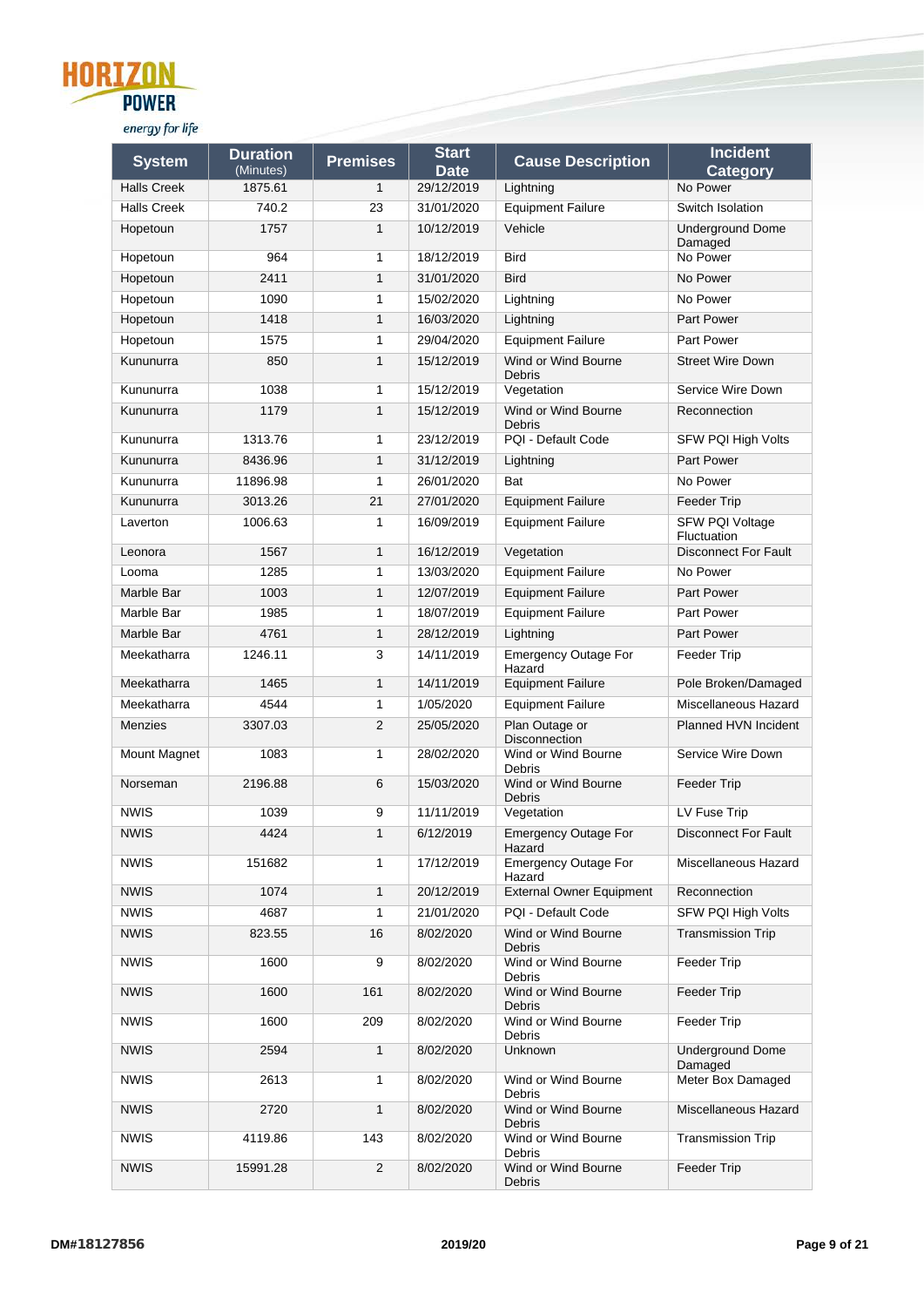| ORT |              |
|-----|--------------|
|     | <b>POWER</b> |

energy for life

| <b>System</b>      | <b>Duration</b><br>(Minutes) | <b>Premises</b> | <b>Start</b><br><b>Date</b> | <b>Cause Description</b>              | <b>Incident</b><br>Category           |
|--------------------|------------------------------|-----------------|-----------------------------|---------------------------------------|---------------------------------------|
| <b>Halls Creek</b> | 1875.61                      | $\mathbf{1}$    | 29/12/2019                  | Lightning                             | No Power                              |
| <b>Halls Creek</b> | 740.2                        | 23              | 31/01/2020                  | <b>Equipment Failure</b>              | Switch Isolation                      |
| Hopetoun           | 1757                         | $\mathbf{1}$    | 10/12/2019                  | Vehicle                               | <b>Underground Dome</b><br>Damaged    |
| Hopetoun           | 964                          | $\mathbf{1}$    | 18/12/2019                  | <b>Bird</b>                           | No Power                              |
| Hopetoun           | 2411                         | $\mathbf{1}$    | 31/01/2020                  | <b>Bird</b>                           | No Power                              |
| Hopetoun           | 1090                         | 1               | 15/02/2020                  | Lightning                             | No Power                              |
| Hopetoun           | 1418                         | $\mathbf{1}$    | 16/03/2020                  | Lightning                             | <b>Part Power</b>                     |
| Hopetoun           | 1575                         | 1               | 29/04/2020                  | <b>Equipment Failure</b>              | Part Power                            |
| Kununurra          | 850                          | $\mathbf{1}$    | 15/12/2019                  | Wind or Wind Bourne<br>Debris         | <b>Street Wire Down</b>               |
| Kununurra          | 1038                         | $\mathbf{1}$    | 15/12/2019                  | Vegetation                            | Service Wire Down                     |
| Kununurra          | 1179                         | $\mathbf{1}$    | 15/12/2019                  | Wind or Wind Bourne<br><b>Debris</b>  | Reconnection                          |
| Kununurra          | 1313.76                      | 1               | 23/12/2019                  | PQI - Default Code                    | SFW PQI High Volts                    |
| Kununurra          | 8436.96                      | $\mathbf{1}$    | 31/12/2019                  | Lightning                             | <b>Part Power</b>                     |
| Kununurra          | 11896.98                     | $\mathbf{1}$    | 26/01/2020                  | Bat                                   | No Power                              |
| Kununurra          | 3013.26                      | 21              | 27/01/2020                  | <b>Equipment Failure</b>              | <b>Feeder Trip</b>                    |
| Laverton           | 1006.63                      | $\mathbf{1}$    | 16/09/2019                  | <b>Equipment Failure</b>              | <b>SFW PQI Voltage</b><br>Fluctuation |
| Leonora            | 1567                         | $\mathbf{1}$    | 16/12/2019                  | Vegetation                            | <b>Disconnect For Fault</b>           |
| Looma              | 1285                         | 1               | 13/03/2020                  | <b>Equipment Failure</b>              | No Power                              |
| Marble Bar         | 1003                         | $\mathbf{1}$    | 12/07/2019                  | <b>Equipment Failure</b>              | Part Power                            |
| Marble Bar         | 1985                         | $\mathbf{1}$    | 18/07/2019                  | <b>Equipment Failure</b>              | Part Power                            |
| Marble Bar         | 4761                         | $\mathbf{1}$    | 28/12/2019                  | Lightning                             | <b>Part Power</b>                     |
| Meekatharra        | 1246.11                      | 3               | 14/11/2019                  | <b>Emergency Outage For</b><br>Hazard | <b>Feeder Trip</b>                    |
| Meekatharra        | 1465                         | $\mathbf{1}$    | 14/11/2019                  | <b>Equipment Failure</b>              | Pole Broken/Damaged                   |
| Meekatharra        | 4544                         | 1               | 1/05/2020                   | <b>Equipment Failure</b>              | Miscellaneous Hazard                  |
| <b>Menzies</b>     | 3307.03                      | 2               | 25/05/2020                  | Plan Outage or<br>Disconnection       | Planned HVN Incident                  |
| Mount Magnet       | 1083                         | 1               | 28/02/2020                  | Wind or Wind Bourne<br>Debris         | Service Wire Down                     |
| Norseman           | 2196.88                      | 6               | 15/03/2020                  | Wind or Wind Bourne<br>Debris         | <b>Feeder Trip</b>                    |
| <b>NWIS</b>        | 1039                         | 9               | 11/11/2019                  | Vegetation                            | LV Fuse Trip                          |
| <b>NWIS</b>        | 4424                         | 1               | 6/12/2019                   | <b>Emergency Outage For</b><br>Hazard | <b>Disconnect For Fault</b>           |
| <b>NWIS</b>        | 151682                       | $\mathbf{1}$    | 17/12/2019                  | <b>Emergency Outage For</b><br>Hazard | Miscellaneous Hazard                  |
| <b>NWIS</b>        | 1074                         | $\mathbf{1}$    | 20/12/2019                  | <b>External Owner Equipment</b>       | Reconnection                          |
| <b>NWIS</b>        | 4687                         | 1               | 21/01/2020                  | PQI - Default Code                    | SFW PQI High Volts                    |
| <b>NWIS</b>        | 823.55                       | 16              | 8/02/2020                   | Wind or Wind Bourne<br>Debris         | <b>Transmission Trip</b>              |
| <b>NWIS</b>        | 1600                         | 9               | 8/02/2020                   | Wind or Wind Bourne<br><b>Debris</b>  | Feeder Trip                           |
| <b>NWIS</b>        | 1600                         | 161             | 8/02/2020                   | Wind or Wind Bourne<br>Debris         | <b>Feeder Trip</b>                    |
| <b>NWIS</b>        | 1600                         | 209             | 8/02/2020                   | Wind or Wind Bourne<br>Debris         | Feeder Trip                           |
| <b>NWIS</b>        | 2594                         | $\mathbf{1}$    | 8/02/2020                   | Unknown                               | <b>Underground Dome</b><br>Damaged    |
| <b>NWIS</b>        | 2613                         | $\mathbf{1}$    | 8/02/2020                   | Wind or Wind Bourne<br>Debris         | Meter Box Damaged                     |
| <b>NWIS</b>        | 2720                         | $\mathbf{1}$    | 8/02/2020                   | Wind or Wind Bourne<br>Debris         | Miscellaneous Hazard                  |
| <b>NWIS</b>        | 4119.86                      | 143             | 8/02/2020                   | Wind or Wind Bourne<br>Debris         | <b>Transmission Trip</b>              |
| <b>NWIS</b>        | 15991.28                     | $\overline{2}$  | 8/02/2020                   | Wind or Wind Bourne<br>Debris         | Feeder Trip                           |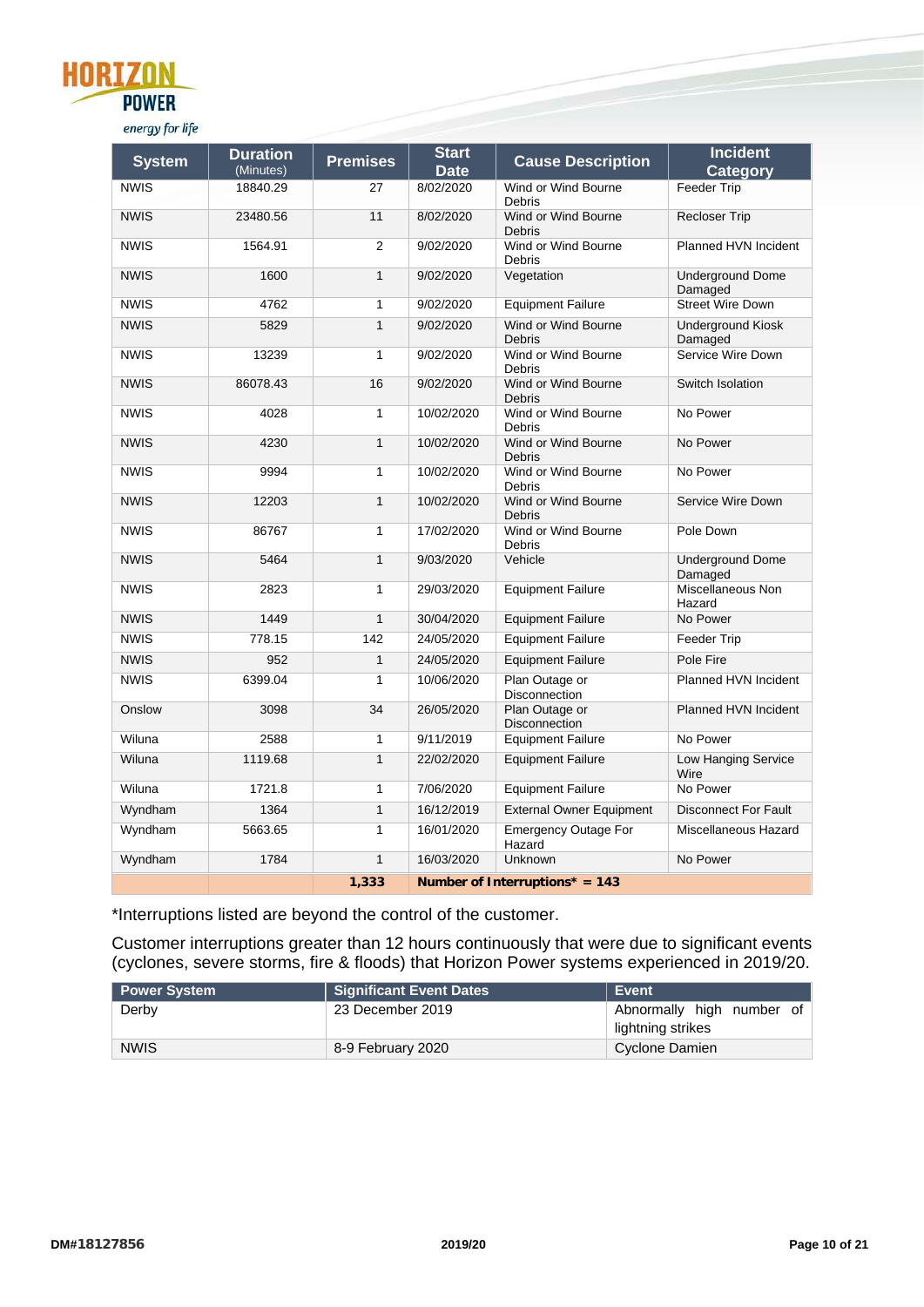| <b>POWER</b> |
|--------------|

## energy for life

| <b>System</b> | <b>Duration</b><br>(Minutes) | <b>Premises</b> | <b>Start</b><br><b>Date</b> | <b>Cause Description</b>               | <b>Incident</b><br><b>Category</b>  |
|---------------|------------------------------|-----------------|-----------------------------|----------------------------------------|-------------------------------------|
| <b>NWIS</b>   | 18840.29                     | 27              | 8/02/2020                   | Wind or Wind Bourne<br><b>Debris</b>   | Feeder Trip                         |
| <b>NWIS</b>   | 23480.56                     | 11              | 8/02/2020                   | Wind or Wind Bourne<br><b>Debris</b>   | Recloser Trip                       |
| <b>NWIS</b>   | 1564.91                      | $\overline{2}$  | 9/02/2020                   | Wind or Wind Bourne<br><b>Debris</b>   | Planned HVN Incident                |
| <b>NWIS</b>   | 1600                         | $\mathbf{1}$    | 9/02/2020                   | Vegetation                             | <b>Underground Dome</b><br>Damaged  |
| <b>NWIS</b>   | 4762                         | $\mathbf{1}$    | 9/02/2020                   | <b>Equipment Failure</b>               | <b>Street Wire Down</b>             |
| <b>NWIS</b>   | 5829                         | $\mathbf{1}$    | 9/02/2020                   | Wind or Wind Bourne<br><b>Debris</b>   | <b>Underground Kiosk</b><br>Damaged |
| <b>NWIS</b>   | 13239                        | $\mathbf{1}$    | 9/02/2020                   | Wind or Wind Bourne<br><b>Debris</b>   | Service Wire Down                   |
| <b>NWIS</b>   | 86078.43                     | 16              | 9/02/2020                   | Wind or Wind Bourne<br><b>Debris</b>   | Switch Isolation                    |
| <b>NWIS</b>   | 4028                         | $\mathbf{1}$    | 10/02/2020                  | Wind or Wind Bourne<br><b>Debris</b>   | No Power                            |
| <b>NWIS</b>   | 4230                         | $\mathbf{1}$    | 10/02/2020                  | Wind or Wind Bourne<br><b>Debris</b>   | No Power                            |
| <b>NWIS</b>   | 9994                         | 1               | 10/02/2020                  | Wind or Wind Bourne<br><b>Debris</b>   | No Power                            |
| <b>NWIS</b>   | 12203                        | $\mathbf{1}$    | 10/02/2020                  | Wind or Wind Bourne<br><b>Debris</b>   | Service Wire Down                   |
| <b>NWIS</b>   | 86767                        | $\mathbf{1}$    | 17/02/2020                  | Wind or Wind Bourne<br><b>Debris</b>   | Pole Down                           |
| <b>NWIS</b>   | 5464                         | $\mathbf{1}$    | 9/03/2020                   | Vehicle                                | <b>Underground Dome</b><br>Damaged  |
| <b>NWIS</b>   | 2823                         | $\mathbf{1}$    | 29/03/2020                  | <b>Equipment Failure</b>               | Miscellaneous Non<br>Hazard         |
| <b>NWIS</b>   | 1449                         | $\mathbf{1}$    | 30/04/2020                  | <b>Equipment Failure</b>               | No Power                            |
| <b>NWIS</b>   | 778.15                       | 142             | 24/05/2020                  | <b>Equipment Failure</b>               | <b>Feeder Trip</b>                  |
| <b>NWIS</b>   | 952                          | $\mathbf{1}$    | 24/05/2020                  | <b>Equipment Failure</b>               | Pole Fire                           |
| <b>NWIS</b>   | 6399.04                      | $\mathbf{1}$    | 10/06/2020                  | Plan Outage or<br><b>Disconnection</b> | Planned HVN Incident                |
| Onslow        | 3098                         | 34              | 26/05/2020                  | Plan Outage or<br><b>Disconnection</b> | Planned HVN Incident                |
| Wiluna        | 2588                         | 1               | 9/11/2019                   | <b>Equipment Failure</b>               | No Power                            |
| Wiluna        | 1119.68                      | $\mathbf{1}$    | 22/02/2020                  | <b>Equipment Failure</b>               | Low Hanging Service<br>Wire         |
| Wiluna        | 1721.8                       | $\mathbf{1}$    | 7/06/2020                   | <b>Equipment Failure</b>               | No Power                            |
| Wyndham       | 1364                         | $\mathbf{1}$    | 16/12/2019                  | <b>External Owner Equipment</b>        | <b>Disconnect For Fault</b>         |
| Wyndham       | 5663.65                      | 1               | 16/01/2020                  | <b>Emergency Outage For</b><br>Hazard  | Miscellaneous Hazard                |
| Wyndham       | 1784                         | $\mathbf{1}$    | 16/03/2020                  | Unknown                                | No Power                            |
|               |                              | 1,333           |                             | Number of Interruptions* = $143$       |                                     |

\*Interruptions listed are beyond the control of the customer.

Customer interruptions greater than 12 hours continuously that were due to significant events (cyclones, severe storms, fire & floods) that Horizon Power systems experienced in 2019/20.

| <b>Power System</b> | <b>Significant Event Dates</b> | Event                     |
|---------------------|--------------------------------|---------------------------|
| Derby               | 23 December 2019               | Abnormally high number of |
|                     |                                | lightning strikes         |
| <b>NWIS</b>         | 8-9 February 2020              | Cyclone Damien            |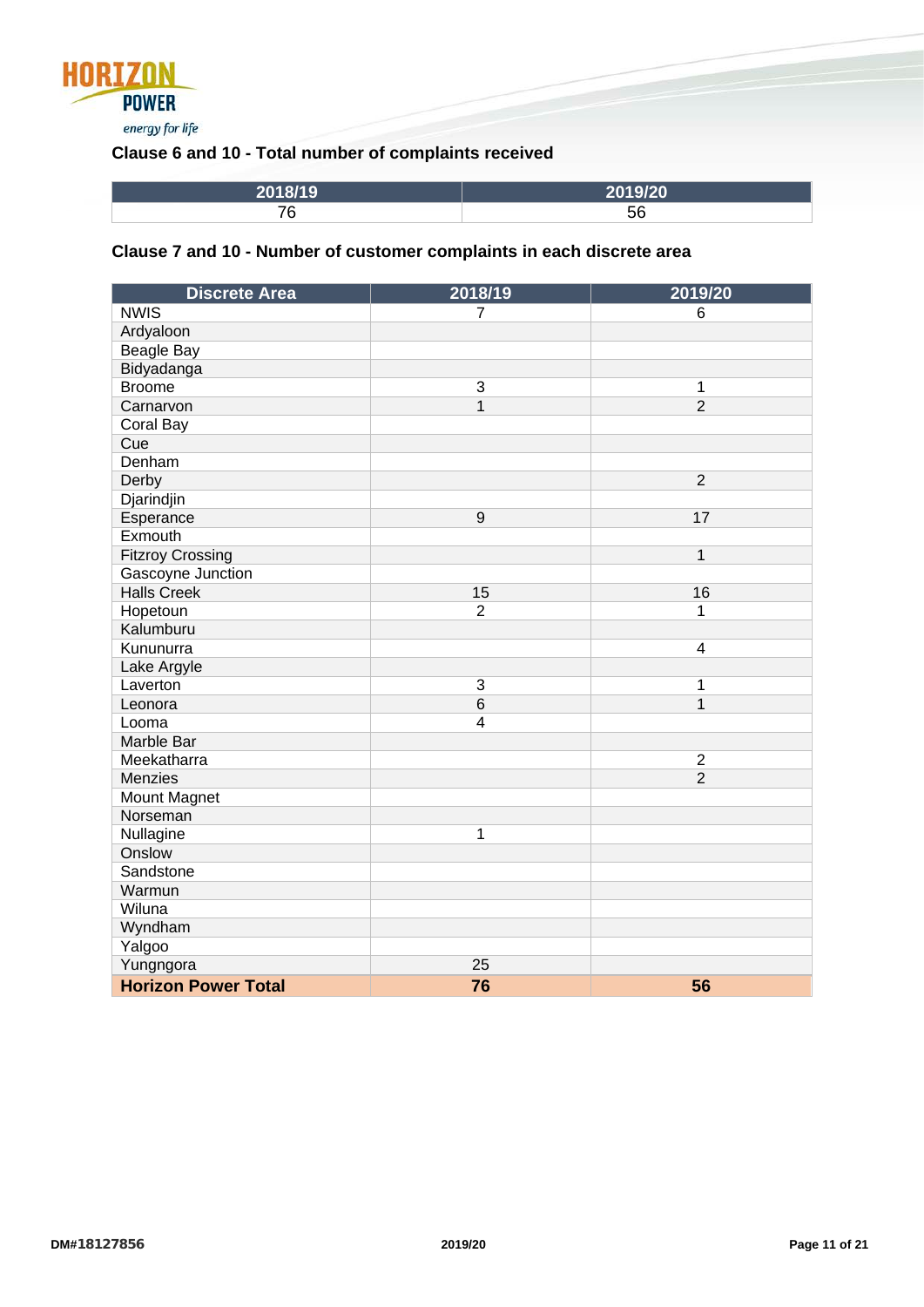

## <span id="page-10-0"></span>**Clause 6 and 10 - Total number of complaints received**

| 2018/19                  | 2010/20 |
|--------------------------|---------|
| $\overline{\phantom{a}}$ | EС      |

## <span id="page-10-1"></span>**Clause 7 and 10 - Number of customer complaints in each discrete area**

| <b>Discrete Area</b>       | 2018/19                 | 2019/20        |
|----------------------------|-------------------------|----------------|
| <b>NWIS</b>                | 7                       | 6              |
| Ardyaloon                  |                         |                |
| <b>Beagle Bay</b>          |                         |                |
| Bidyadanga                 |                         |                |
| <b>Broome</b>              | 3                       | 1              |
| Carnarvon                  | $\overline{1}$          | $\overline{2}$ |
| Coral Bay                  |                         |                |
| Cue                        |                         |                |
| Denham                     |                         |                |
| Derby                      |                         | $\overline{2}$ |
| Djarindjin                 |                         |                |
| Esperance                  | 9                       | 17             |
| Exmouth                    |                         |                |
| <b>Fitzroy Crossing</b>    |                         | $\mathbf{1}$   |
| Gascoyne Junction          |                         |                |
| <b>Halls Creek</b>         | 15                      | 16             |
| Hopetoun                   | $\overline{2}$          | 1              |
| Kalumburu                  |                         |                |
| Kununurra                  |                         | $\overline{4}$ |
| Lake Argyle                |                         |                |
| Laverton                   | 3                       | 1              |
| Leonora                    | $6\overline{6}$         | $\mathbf{1}$   |
| Looma                      | $\overline{\mathbf{4}}$ |                |
| Marble Bar                 |                         |                |
| Meekatharra                |                         | $\overline{2}$ |
| Menzies                    |                         | $\overline{2}$ |
| Mount Magnet               |                         |                |
| Norseman                   |                         |                |
| Nullagine                  | 1                       |                |
| Onslow                     |                         |                |
| Sandstone                  |                         |                |
| Warmun                     |                         |                |
| Wiluna                     |                         |                |
| Wyndham                    |                         |                |
| Yalgoo                     |                         |                |
| Yungngora                  | 25                      |                |
| <b>Horizon Power Total</b> | 76                      | 56             |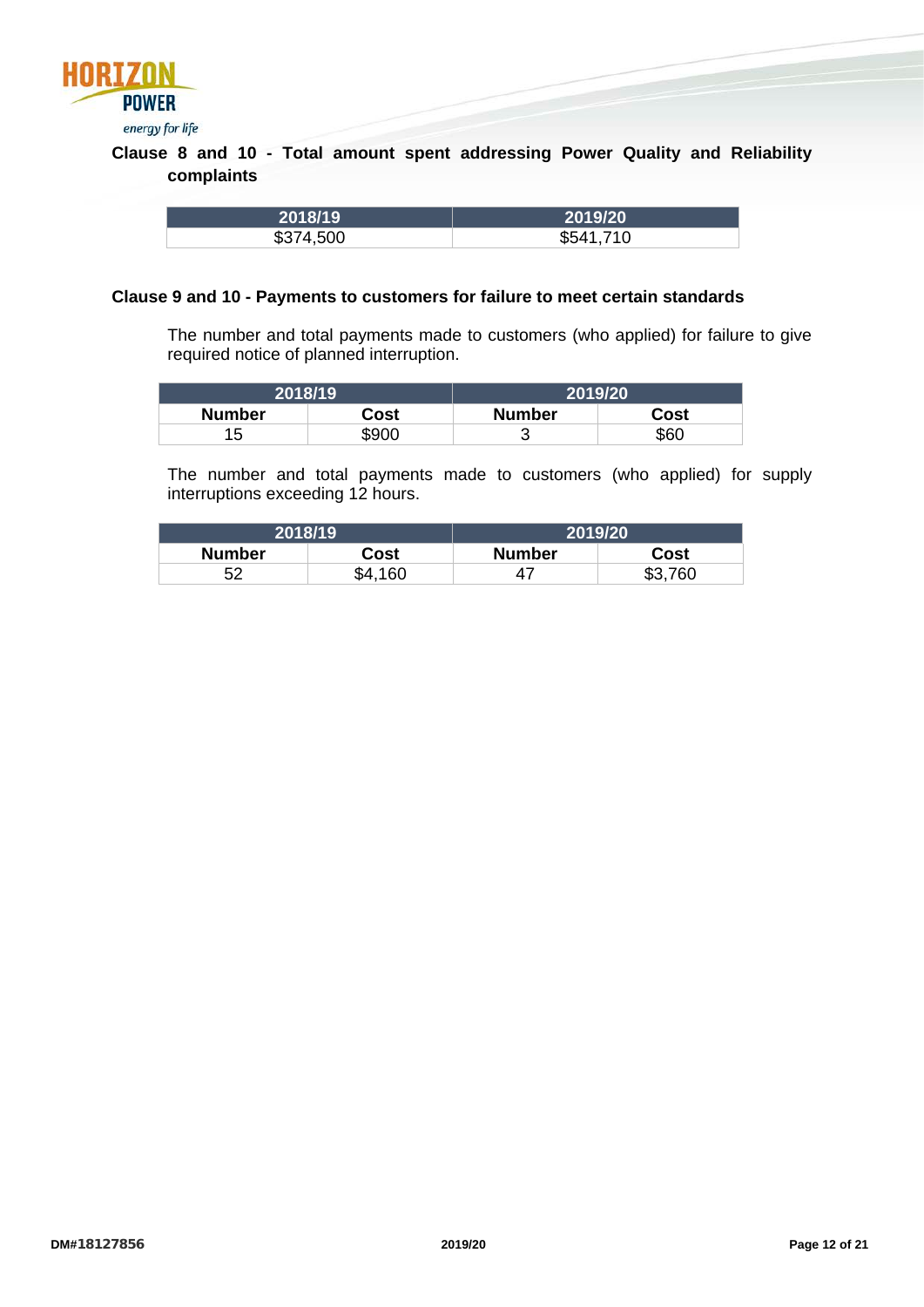

<span id="page-11-0"></span>**Clause 8 and 10 - Total amount spent addressing Power Quality and Reliability complaints**

| 2018/19   | 2019/20   |
|-----------|-----------|
| \$374,500 | \$541,710 |

#### <span id="page-11-1"></span>**Clause 9 and 10 - Payments to customers for failure to meet certain standards**

The number and total payments made to customers (who applied) for failure to give required notice of planned interruption.

| 2018/19       |       | 2019/20       |      |
|---------------|-------|---------------|------|
| <b>Number</b> | Cost  | <b>Number</b> | Cost |
| 1 斥<br>J      | \$900 | ັ             | \$60 |

The number and total payments made to customers (who applied) for supply interruptions exceeding 12 hours.

| 2018/19       |             |               | 2019/20 |
|---------------|-------------|---------------|---------|
| <b>Number</b> | Cost        | <b>Number</b> | Cost    |
| 52            | .160<br>T.A | 4.            | \$3,760 |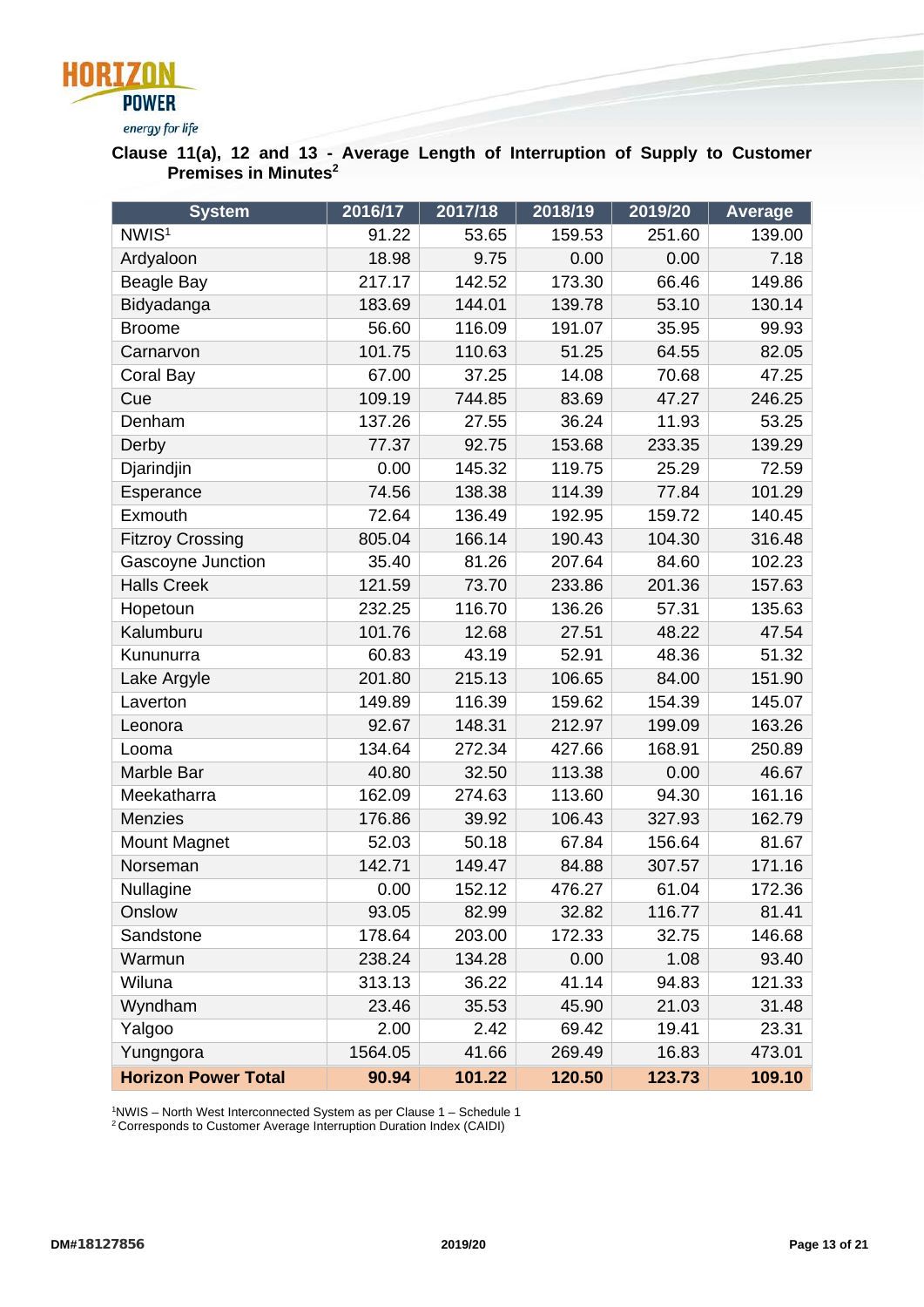

<span id="page-12-0"></span>**Clause 11(a), 12 and 13 - Average Length of Interruption of Supply to Customer Premises in Minutes<sup>2</sup>**

| <b>System</b>              | 2016/17 | 2017/18 | 2018/19 | 2019/20 | <b>Average</b> |
|----------------------------|---------|---------|---------|---------|----------------|
| NWIS <sup>1</sup>          | 91.22   | 53.65   | 159.53  | 251.60  | 139.00         |
| Ardyaloon                  | 18.98   | 9.75    | 0.00    | 0.00    | 7.18           |
| Beagle Bay                 | 217.17  | 142.52  | 173.30  | 66.46   | 149.86         |
| Bidyadanga                 | 183.69  | 144.01  | 139.78  | 53.10   | 130.14         |
| <b>Broome</b>              | 56.60   | 116.09  | 191.07  | 35.95   | 99.93          |
| Carnarvon                  | 101.75  | 110.63  | 51.25   | 64.55   | 82.05          |
| Coral Bay                  | 67.00   | 37.25   | 14.08   | 70.68   | 47.25          |
| Cue                        | 109.19  | 744.85  | 83.69   | 47.27   | 246.25         |
| Denham                     | 137.26  | 27.55   | 36.24   | 11.93   | 53.25          |
| Derby                      | 77.37   | 92.75   | 153.68  | 233.35  | 139.29         |
| Djarindjin                 | 0.00    | 145.32  | 119.75  | 25.29   | 72.59          |
| Esperance                  | 74.56   | 138.38  | 114.39  | 77.84   | 101.29         |
| Exmouth                    | 72.64   | 136.49  | 192.95  | 159.72  | 140.45         |
| <b>Fitzroy Crossing</b>    | 805.04  | 166.14  | 190.43  | 104.30  | 316.48         |
| Gascoyne Junction          | 35.40   | 81.26   | 207.64  | 84.60   | 102.23         |
| <b>Halls Creek</b>         | 121.59  | 73.70   | 233.86  | 201.36  | 157.63         |
| Hopetoun                   | 232.25  | 116.70  | 136.26  | 57.31   | 135.63         |
| Kalumburu                  | 101.76  | 12.68   | 27.51   | 48.22   | 47.54          |
| Kununurra                  | 60.83   | 43.19   | 52.91   | 48.36   | 51.32          |
| Lake Argyle                | 201.80  | 215.13  | 106.65  | 84.00   | 151.90         |
| Laverton                   | 149.89  | 116.39  | 159.62  | 154.39  | 145.07         |
| Leonora                    | 92.67   | 148.31  | 212.97  | 199.09  | 163.26         |
| Looma                      | 134.64  | 272.34  | 427.66  | 168.91  | 250.89         |
| Marble Bar                 | 40.80   | 32.50   | 113.38  | 0.00    | 46.67          |
| Meekatharra                | 162.09  | 274.63  | 113.60  | 94.30   | 161.16         |
| Menzies                    | 176.86  | 39.92   | 106.43  | 327.93  | 162.79         |
| Mount Magnet               | 52.03   | 50.18   | 67.84   | 156.64  | 81.67          |
| Norseman                   | 142.71  | 149.47  | 84.88   | 307.57  | 171.16         |
| Nullagine                  | 0.00    | 152.12  | 476.27  | 61.04   | 172.36         |
| Onslow                     | 93.05   | 82.99   | 32.82   | 116.77  | 81.41          |
| Sandstone                  | 178.64  | 203.00  | 172.33  | 32.75   | 146.68         |
| Warmun                     | 238.24  | 134.28  | 0.00    | 1.08    | 93.40          |
| Wiluna                     | 313.13  | 36.22   | 41.14   | 94.83   | 121.33         |
| Wyndham                    | 23.46   | 35.53   | 45.90   | 21.03   | 31.48          |
| Yalgoo                     | 2.00    | 2.42    | 69.42   | 19.41   | 23.31          |
| Yungngora                  | 1564.05 | 41.66   | 269.49  | 16.83   | 473.01         |
| <b>Horizon Power Total</b> | 90.94   | 101.22  | 120.50  | 123.73  | 109.10         |

1 NWIS – North West Interconnected System as per Clause 1 – Schedule 1

2 Corresponds to Customer Average Interruption Duration Index (CAIDI)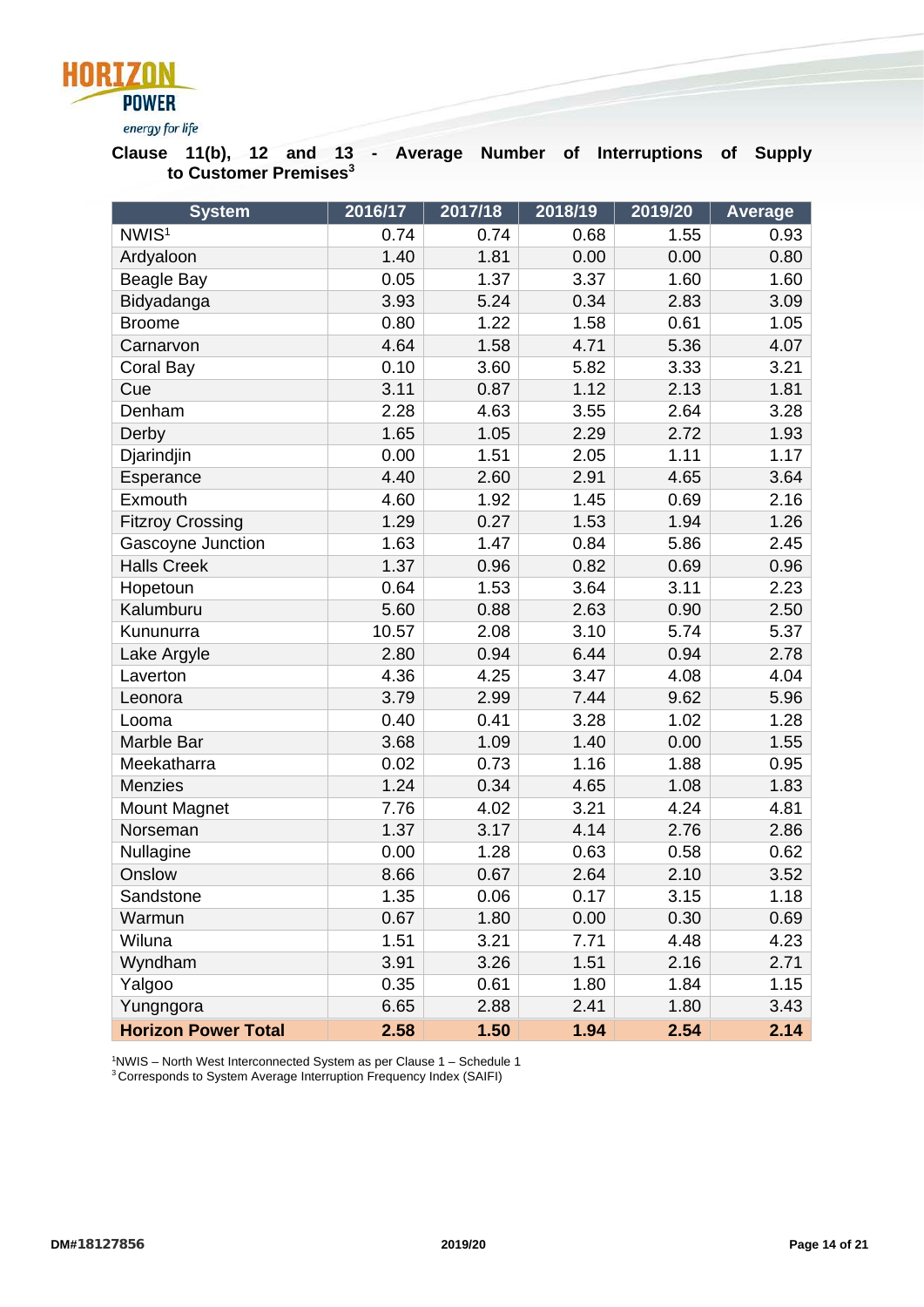

<span id="page-13-0"></span>**Clause 11(b), 12 and 13 - Average Number of Interruptions of Supply to Customer Premises<sup>3</sup>**

| <b>System</b>              | 2016/17 | 2017/18 | 2018/19 | 2019/20 | <b>Average</b> |
|----------------------------|---------|---------|---------|---------|----------------|
| NWIS <sup>1</sup>          | 0.74    | 0.74    | 0.68    | 1.55    | 0.93           |
| Ardyaloon                  | 1.40    | 1.81    | 0.00    | 0.00    | 0.80           |
| Beagle Bay                 | 0.05    | 1.37    | 3.37    | 1.60    | 1.60           |
| Bidyadanga                 | 3.93    | 5.24    | 0.34    | 2.83    | 3.09           |
| <b>Broome</b>              | 0.80    | 1.22    | 1.58    | 0.61    | 1.05           |
| Carnarvon                  | 4.64    | 1.58    | 4.71    | 5.36    | 4.07           |
| Coral Bay                  | 0.10    | 3.60    | 5.82    | 3.33    | 3.21           |
| Cue                        | 3.11    | 0.87    | 1.12    | 2.13    | 1.81           |
| Denham                     | 2.28    | 4.63    | 3.55    | 2.64    | 3.28           |
| Derby                      | 1.65    | 1.05    | 2.29    | 2.72    | 1.93           |
| Djarindjin                 | 0.00    | 1.51    | 2.05    | 1.11    | 1.17           |
| Esperance                  | 4.40    | 2.60    | 2.91    | 4.65    | 3.64           |
| Exmouth                    | 4.60    | 1.92    | 1.45    | 0.69    | 2.16           |
| <b>Fitzroy Crossing</b>    | 1.29    | 0.27    | 1.53    | 1.94    | 1.26           |
| Gascoyne Junction          | 1.63    | 1.47    | 0.84    | 5.86    | 2.45           |
| <b>Halls Creek</b>         | 1.37    | 0.96    | 0.82    | 0.69    | 0.96           |
| Hopetoun                   | 0.64    | 1.53    | 3.64    | 3.11    | 2.23           |
| Kalumburu                  | 5.60    | 0.88    | 2.63    | 0.90    | 2.50           |
| Kununurra                  | 10.57   | 2.08    | 3.10    | 5.74    | 5.37           |
| Lake Argyle                | 2.80    | 0.94    | 6.44    | 0.94    | 2.78           |
| Laverton                   | 4.36    | 4.25    | 3.47    | 4.08    | 4.04           |
| Leonora                    | 3.79    | 2.99    | 7.44    | 9.62    | 5.96           |
| Looma                      | 0.40    | 0.41    | 3.28    | 1.02    | 1.28           |
| Marble Bar                 | 3.68    | 1.09    | 1.40    | 0.00    | 1.55           |
| Meekatharra                | 0.02    | 0.73    | 1.16    | 1.88    | 0.95           |
| <b>Menzies</b>             | 1.24    | 0.34    | 4.65    | 1.08    | 1.83           |
| <b>Mount Magnet</b>        | 7.76    | 4.02    | 3.21    | 4.24    | 4.81           |
| Norseman                   | 1.37    | 3.17    | 4.14    | 2.76    | 2.86           |
| Nullagine                  | 0.00    | 1.28    | 0.63    | 0.58    | 0.62           |
| Onslow                     | 8.66    | 0.67    | 2.64    | 2.10    | 3.52           |
| Sandstone                  | 1.35    | 0.06    | 0.17    | 3.15    | 1.18           |
| Warmun                     | 0.67    | 1.80    | 0.00    | 0.30    | 0.69           |
| Wiluna                     | 1.51    | 3.21    | 7.71    | 4.48    | 4.23           |
| Wyndham                    | 3.91    | 3.26    | 1.51    | 2.16    | 2.71           |
| Yalgoo                     | 0.35    | 0.61    | 1.80    | 1.84    | 1.15           |
| Yungngora                  | 6.65    | 2.88    | 2.41    | 1.80    | 3.43           |
| <b>Horizon Power Total</b> | 2.58    | 1.50    | 1.94    | 2.54    | 2.14           |

1 NWIS – North West Interconnected System as per Clause 1 – Schedule 1 <sup>3</sup> Corresponds to System Average Interruption Frequency Index (SAIFI)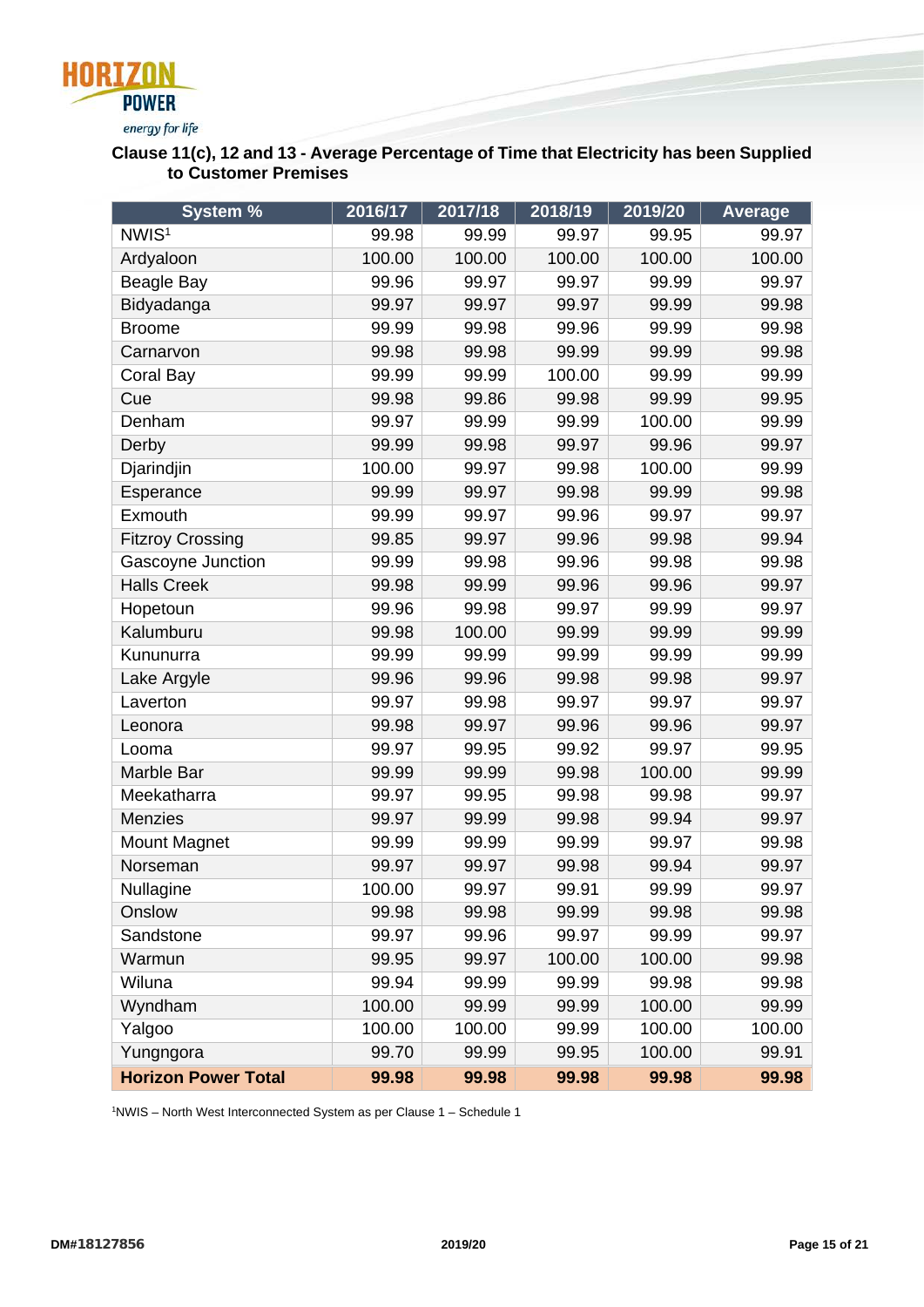

<span id="page-14-0"></span>**Clause 11(c), 12 and 13 - Average Percentage of Time that Electricity has been Supplied to Customer Premises**

| <b>System %</b>            | 2016/17 | 2017/18 | 2018/19 | 2019/20 | <b>Average</b> |
|----------------------------|---------|---------|---------|---------|----------------|
| NWIS <sup>1</sup>          | 99.98   | 99.99   | 99.97   | 99.95   | 99.97          |
| Ardyaloon                  | 100.00  | 100.00  | 100.00  | 100.00  | 100.00         |
| Beagle Bay                 | 99.96   | 99.97   | 99.97   | 99.99   | 99.97          |
| Bidyadanga                 | 99.97   | 99.97   | 99.97   | 99.99   | 99.98          |
| <b>Broome</b>              | 99.99   | 99.98   | 99.96   | 99.99   | 99.98          |
| Carnarvon                  | 99.98   | 99.98   | 99.99   | 99.99   | 99.98          |
| Coral Bay                  | 99.99   | 99.99   | 100.00  | 99.99   | 99.99          |
| Cue                        | 99.98   | 99.86   | 99.98   | 99.99   | 99.95          |
| Denham                     | 99.97   | 99.99   | 99.99   | 100.00  | 99.99          |
| Derby                      | 99.99   | 99.98   | 99.97   | 99.96   | 99.97          |
| Djarindjin                 | 100.00  | 99.97   | 99.98   | 100.00  | 99.99          |
| Esperance                  | 99.99   | 99.97   | 99.98   | 99.99   | 99.98          |
| Exmouth                    | 99.99   | 99.97   | 99.96   | 99.97   | 99.97          |
| <b>Fitzroy Crossing</b>    | 99.85   | 99.97   | 99.96   | 99.98   | 99.94          |
| Gascoyne Junction          | 99.99   | 99.98   | 99.96   | 99.98   | 99.98          |
| <b>Halls Creek</b>         | 99.98   | 99.99   | 99.96   | 99.96   | 99.97          |
| Hopetoun                   | 99.96   | 99.98   | 99.97   | 99.99   | 99.97          |
| Kalumburu                  | 99.98   | 100.00  | 99.99   | 99.99   | 99.99          |
| Kununurra                  | 99.99   | 99.99   | 99.99   | 99.99   | 99.99          |
| Lake Argyle                | 99.96   | 99.96   | 99.98   | 99.98   | 99.97          |
| Laverton                   | 99.97   | 99.98   | 99.97   | 99.97   | 99.97          |
| Leonora                    | 99.98   | 99.97   | 99.96   | 99.96   | 99.97          |
| Looma                      | 99.97   | 99.95   | 99.92   | 99.97   | 99.95          |
| Marble Bar                 | 99.99   | 99.99   | 99.98   | 100.00  | 99.99          |
| Meekatharra                | 99.97   | 99.95   | 99.98   | 99.98   | 99.97          |
| Menzies                    | 99.97   | 99.99   | 99.98   | 99.94   | 99.97          |
| <b>Mount Magnet</b>        | 99.99   | 99.99   | 99.99   | 99.97   | 99.98          |
| Norseman                   | 99.97   | 99.97   | 99.98   | 99.94   | 99.97          |
| Nullagine                  | 100.00  | 99.97   | 99.91   | 99.99   | 99.97          |
| Onslow                     | 99.98   | 99.98   | 99.99   | 99.98   | 99.98          |
| Sandstone                  | 99.97   | 99.96   | 99.97   | 99.99   | 99.97          |
| Warmun                     | 99.95   | 99.97   | 100.00  | 100.00  | 99.98          |
| Wiluna                     | 99.94   | 99.99   | 99.99   | 99.98   | 99.98          |
| Wyndham                    | 100.00  | 99.99   | 99.99   | 100.00  | 99.99          |
| Yalgoo                     | 100.00  | 100.00  | 99.99   | 100.00  | 100.00         |
| Yungngora                  | 99.70   | 99.99   | 99.95   | 100.00  | 99.91          |
| <b>Horizon Power Total</b> | 99.98   | 99.98   | 99.98   | 99.98   | 99.98          |

1 NWIS – North West Interconnected System as per Clause 1 – Schedule 1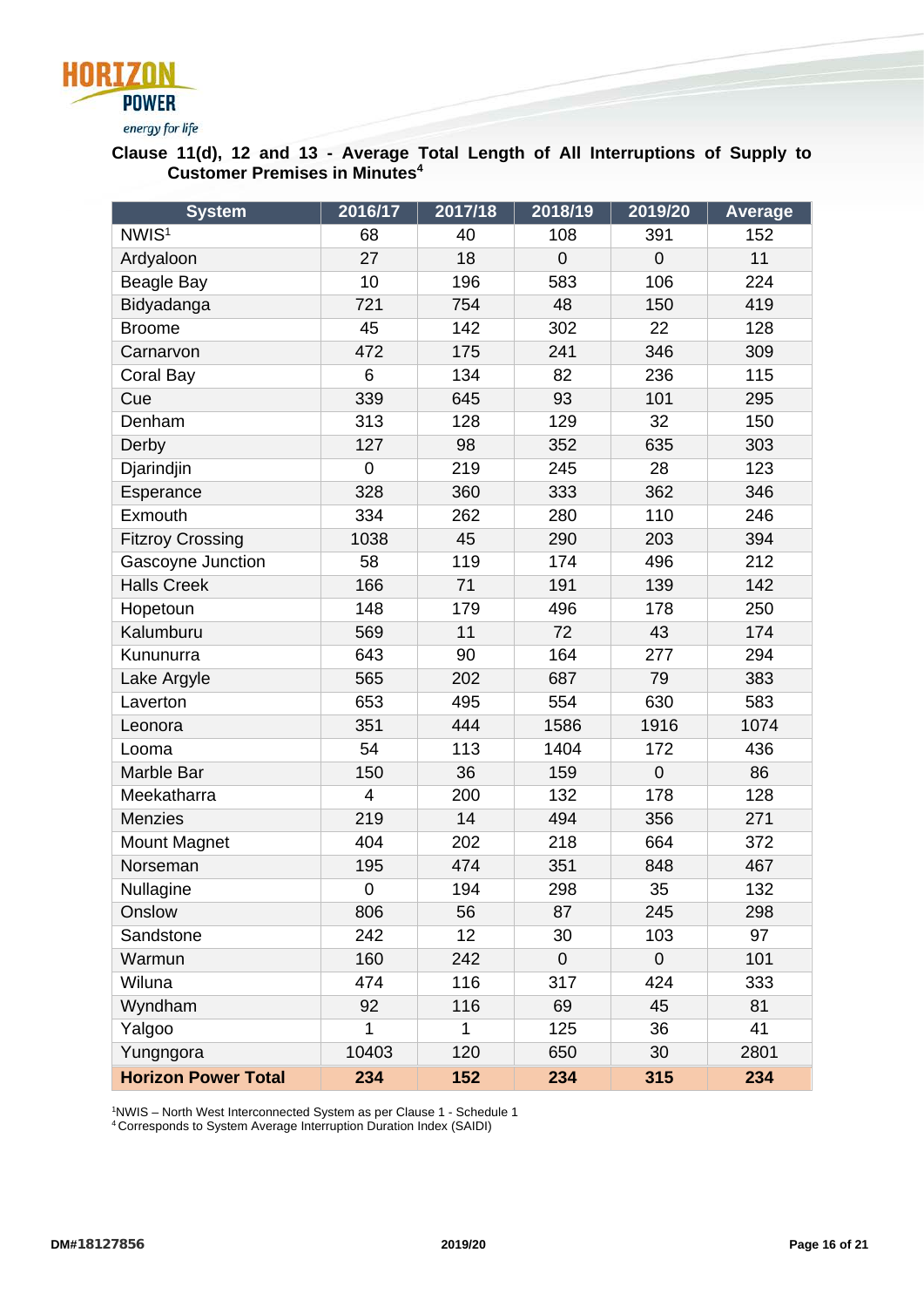

<span id="page-15-0"></span>**Clause 11(d), 12 and 13 - Average Total Length of All Interruptions of Supply to Customer Premises in Minutes<sup>4</sup>**

| <b>System</b>              | 2016/17                  | 2017/18      | 2018/19        | 2019/20     | <b>Average</b> |
|----------------------------|--------------------------|--------------|----------------|-------------|----------------|
| NWIS <sup>1</sup>          | 68                       | 40           | 108            | 391         | 152            |
| Ardyaloon                  | 27                       | 18           | $\overline{0}$ | $\mathbf 0$ | 11             |
| <b>Beagle Bay</b>          | 10                       | 196          | 583            | 106         | 224            |
| Bidyadanga                 | 721                      | 754          | 48             | 150         | 419            |
| <b>Broome</b>              | 45                       | 142          | 302            | 22          | 128            |
| Carnarvon                  | 472                      | 175          | 241            | 346         | 309            |
| Coral Bay                  | 6                        | 134          | 82             | 236         | 115            |
| Cue                        | 339                      | 645          | 93             | 101         | 295            |
| Denham                     | 313                      | 128          | 129            | 32          | 150            |
| Derby                      | 127                      | 98           | 352            | 635         | 303            |
| Djarindjin                 | 0                        | 219          | 245            | 28          | 123            |
| Esperance                  | 328                      | 360          | 333            | 362         | 346            |
| Exmouth                    | 334                      | 262          | 280            | 110         | 246            |
| <b>Fitzroy Crossing</b>    | 1038                     | 45           | 290            | 203         | 394            |
| Gascoyne Junction          | 58                       | 119          | 174            | 496         | 212            |
| <b>Halls Creek</b>         | 166                      | 71           | 191            | 139         | 142            |
| Hopetoun                   | 148                      | 179          | 496            | 178         | 250            |
| Kalumburu                  | 569                      | 11           | 72             | 43          | 174            |
| Kununurra                  | 643                      | 90           | 164            | 277         | 294            |
| Lake Argyle                | 565                      | 202          | 687            | 79          | 383            |
| Laverton                   | 653                      | 495          | 554            | 630         | 583            |
| Leonora                    | 351                      | 444          | 1586           | 1916        | 1074           |
| Looma                      | 54                       | 113          | 1404           | 172         | 436            |
| Marble Bar                 | 150                      | 36           | 159            | $\mathbf 0$ | 86             |
| Meekatharra                | $\overline{\mathcal{A}}$ | 200          | 132            | 178         | 128            |
| <b>Menzies</b>             | 219                      | 14           | 494            | 356         | 271            |
| <b>Mount Magnet</b>        | 404                      | 202          | 218            | 664         | 372            |
| Norseman                   | 195                      | 474          | 351            | 848         | 467            |
| Nullagine                  | $\mathbf 0$              | 194          | 298            | 35          | 132            |
| Onslow                     | 806                      | 56           | 87             | 245         | 298            |
| Sandstone                  | 242                      | 12           | 30             | 103         | 97             |
| Warmun                     | 160                      | 242          | $\mathbf 0$    | $\mathbf 0$ | 101            |
| Wiluna                     | 474                      | 116          | 317            | 424         | 333            |
| Wyndham                    | 92                       | 116          | 69             | 45          | 81             |
| Yalgoo                     | 1                        | $\mathbf{1}$ | 125            | 36          | 41             |
| Yungngora                  | 10403                    | 120          | 650            | 30          | 2801           |
| <b>Horizon Power Total</b> | 234                      | 152          | 234            | 315         | 234            |

1 NWIS – North West Interconnected System as per Clause 1 - Schedule 1

4 Corresponds to System Average Interruption Duration Index (SAIDI)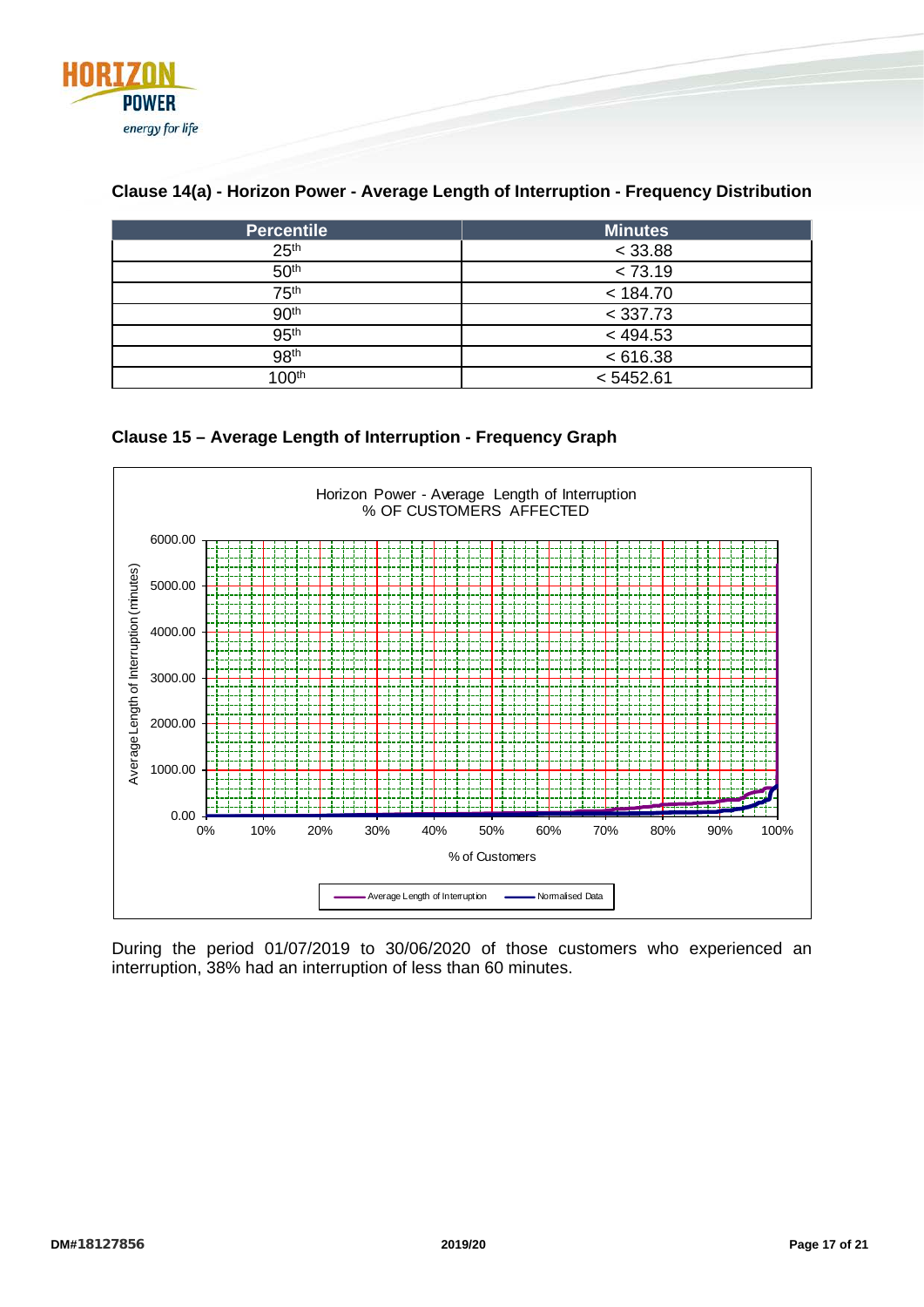

| <b>Percentile</b> | <b>Minutes</b> |
|-------------------|----------------|
| 25 <sup>th</sup>  | < 33.88        |
| 50 <sup>th</sup>  | < 73.19        |
| 75 <sup>th</sup>  | < 184.70       |
| 90 <sup>th</sup>  | < 337.73       |
| 95 <sup>th</sup>  | < 494.53       |
| 98 <sup>th</sup>  | < 616.38       |
| 100 <sup>th</sup> | < 5452.61      |

## <span id="page-16-0"></span>**Clause 14(a) - Horizon Power - Average Length of Interruption - Frequency Distribution**

## <span id="page-16-1"></span>**Clause 15 – Average Length of Interruption - Frequency Graph**



During the period 01/07/2019 to 30/06/2020 of those customers who experienced an interruption, 38% had an interruption of less than 60 minutes.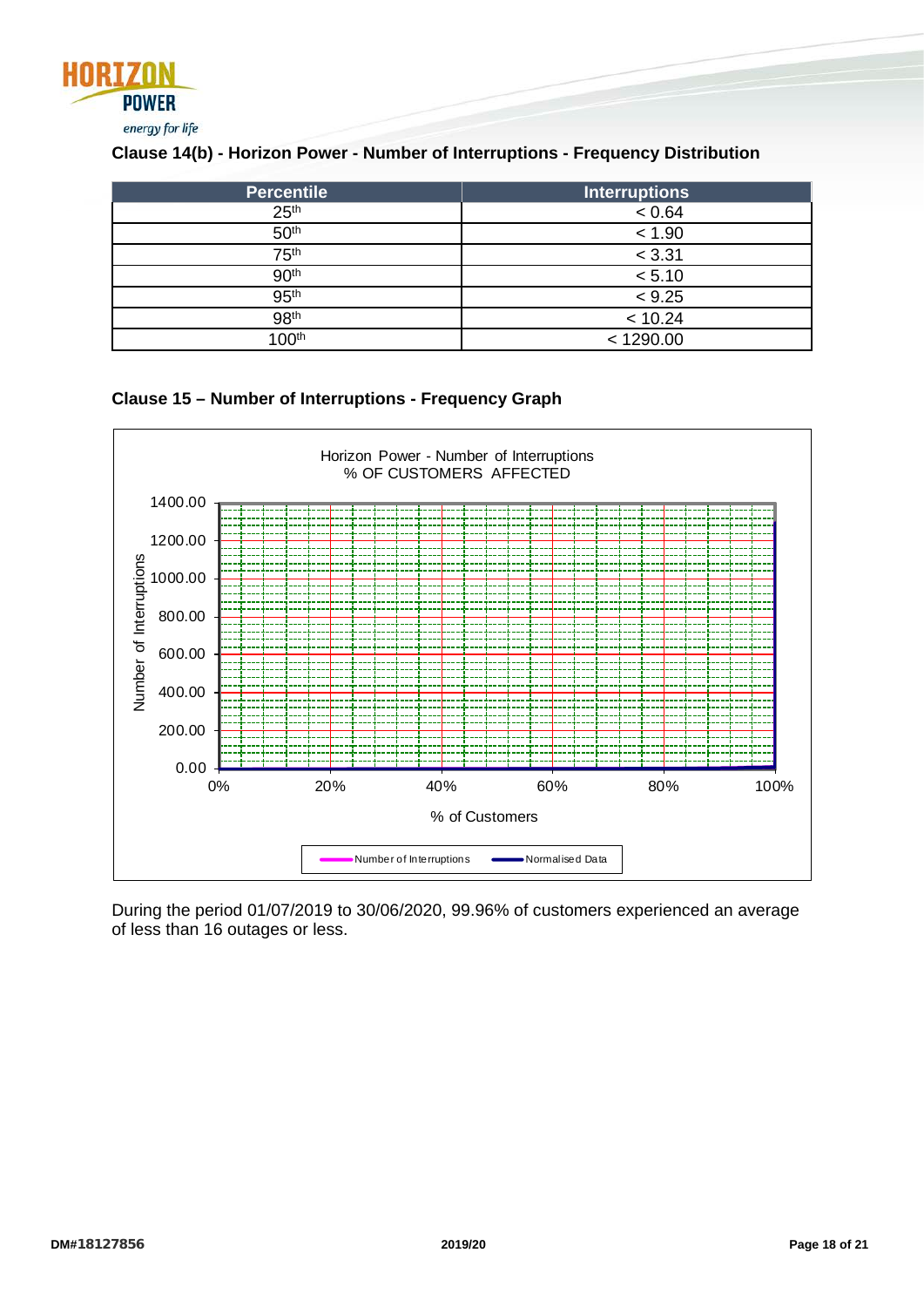

## <span id="page-17-0"></span>**Clause 14(b) - Horizon Power - Number of Interruptions - Frequency Distribution**

| <b>Percentile</b>        | <b>Interruptions</b> |
|--------------------------|----------------------|
| 25 <sup>th</sup>         | < 0.64               |
| 50 <sup>th</sup>         | < 1.90               |
| 75 <sup>th</sup>         | < 3.31               |
| 90 <sup>th</sup>         | < 5.10               |
| 95 <sup>th</sup>         | < 9.25               |
| 98 <sup>th</sup>         | < 10.24              |
| 1 $\Omega$ <sup>th</sup> | < 1290.00            |

## <span id="page-17-1"></span>**Clause 15 – Number of Interruptions - Frequency Graph**



During the period 01/07/2019 to 30/06/2020, 99.96% of customers experienced an average of less than 16 outages or less.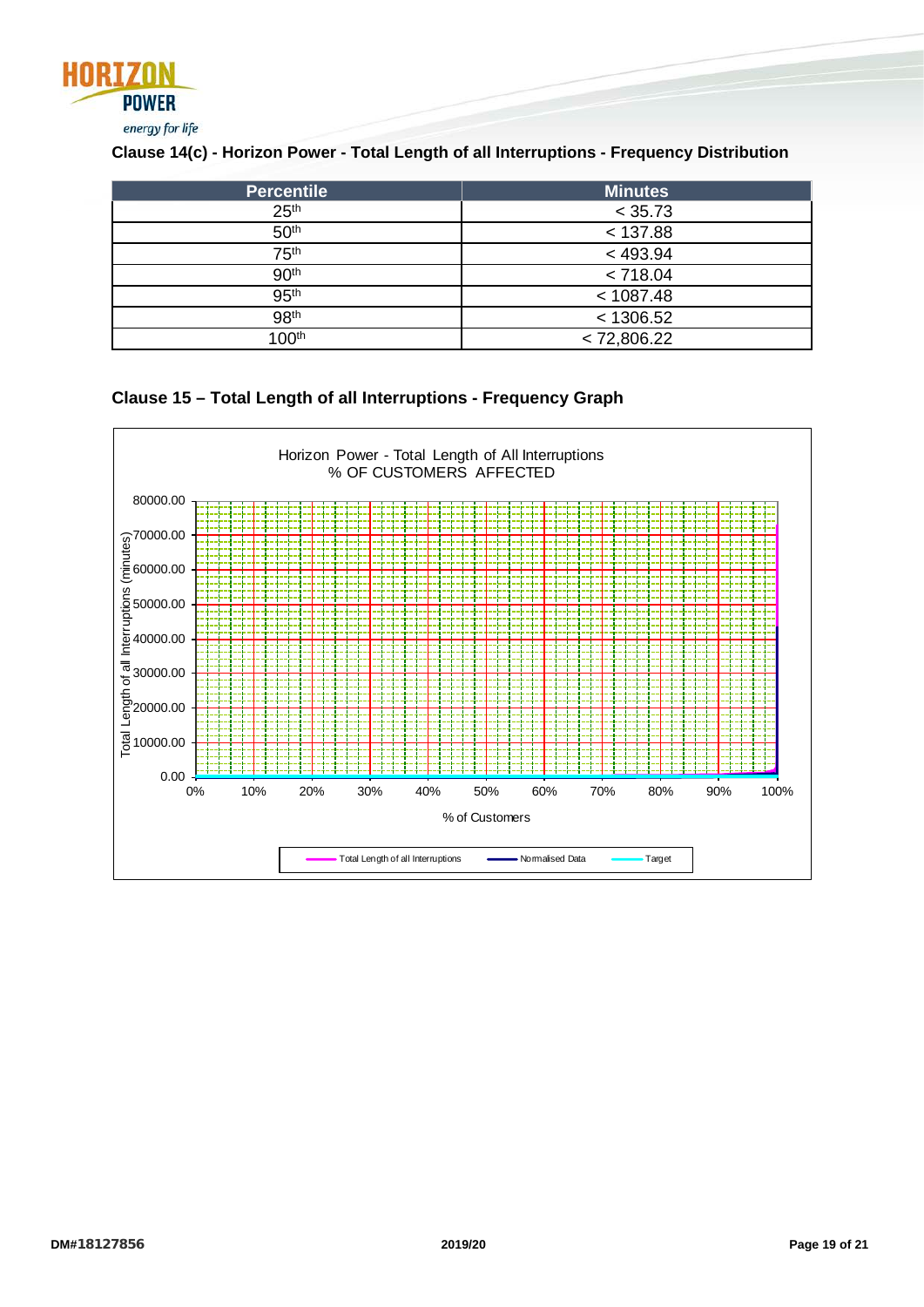

<span id="page-18-0"></span>**Clause 14(c) - Horizon Power - Total Length of all Interruptions - Frequency Distribution**

| <b>Percentile</b> | <b>Minutes</b> |
|-------------------|----------------|
| 25 <sup>th</sup>  | < 35.73        |
| 50 <sup>th</sup>  | < 137.88       |
| 75 <sup>th</sup>  | < 493.94       |
| 90 <sup>th</sup>  | < 718.04       |
| 95 <sup>th</sup>  | < 1087.48      |
| 98 <sup>th</sup>  | < 1306.52      |
| 100 <sup>th</sup> | < 72,806.22    |

## <span id="page-18-1"></span>**Clause 15 – Total Length of all Interruptions - Frequency Graph**

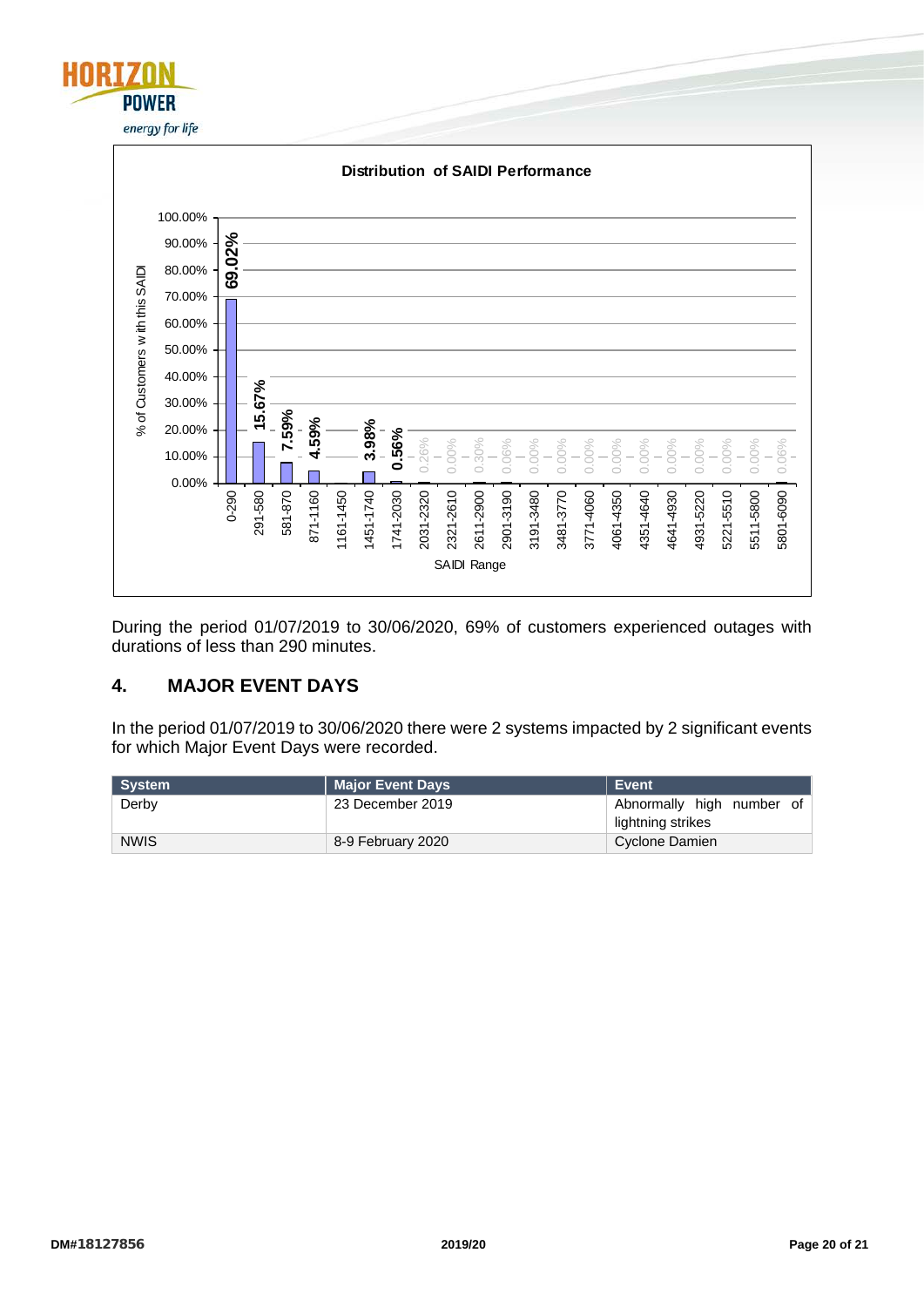



During the period 01/07/2019 to 30/06/2020, 69% of customers experienced outages with durations of less than 290 minutes.

## <span id="page-19-0"></span>**4. MAJOR EVENT DAYS**

In the period 01/07/2019 to 30/06/2020 there were 2 systems impacted by 2 significant events for which Major Event Days were recorded.

| System      | <b>Major Event Days</b> | Event                     |
|-------------|-------------------------|---------------------------|
| Derby       | 23 December 2019        | Abnormally high number of |
|             |                         | lightning strikes         |
| <b>NWIS</b> | 8-9 February 2020       | Cyclone Damien            |